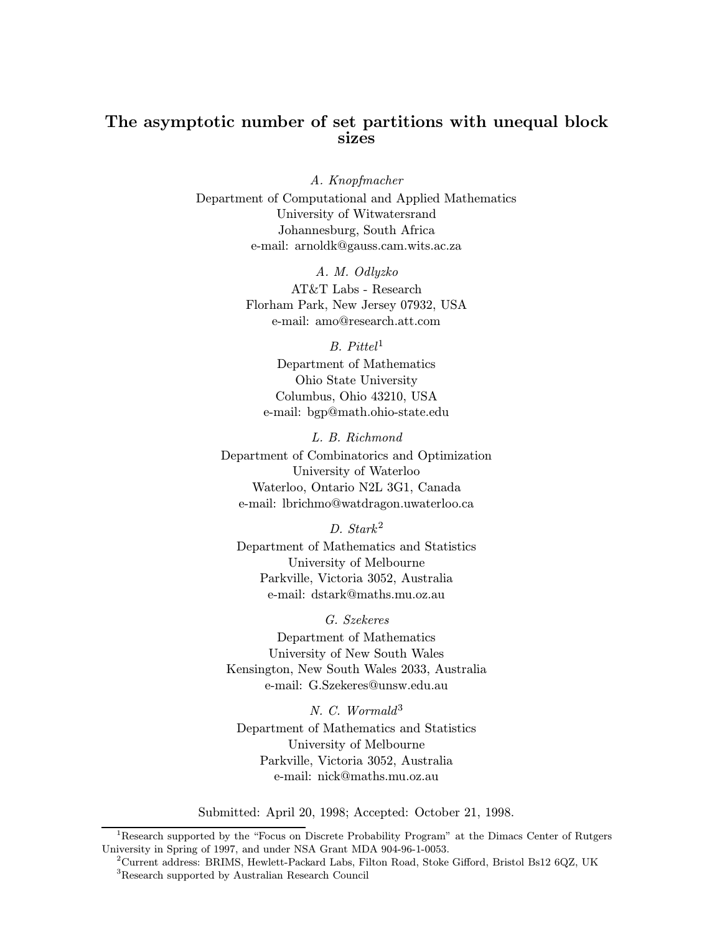# The asymptotic number of set partitions with unequal block sizes

A. Knopfmacher Department of Computational and Applied Mathematics University of Witwatersrand Johannesburg, South Africa e-mail: arnoldk@gauss.cam.wits.ac.za

> A. M. Odlyzko AT&T Labs - Research Florham Park, New Jersey 07932, USA e-mail: amo@research.att.com

> > $B.$  Pittel<sup>1</sup>

Department of Mathematics Ohio State University Columbus, Ohio 43210, USA e-mail: bgp@math.ohio-state.edu

L. B. Richmond Department of Combinatorics and Optimization University of Waterloo Waterloo, Ontario N2L 3G1, Canada e-mail: lbrichmo@watdragon.uwaterloo.ca

D. Stark<sup>2</sup>

Department of Mathematics and Statistics University of Melbourne Parkville, Victoria 3052, Australia e-mail: dstark@maths.mu.oz.au

# G. Szekeres

Department of Mathematics University of New South Wales Kensington, New South Wales 2033, Australia e-mail: G.Szekeres@unsw.edu.au

N. C. Wormald<sup>3</sup> Department of Mathematics and Statistics University of Melbourne Parkville, Victoria 3052, Australia e-mail: nick@maths.mu.oz.au

Submitted: April 20, 1998; Accepted: October 21, 1998.

<sup>&</sup>lt;sup>1</sup>Research supported by the "Focus on Discrete Probability Program" at the Dimacs Center of Rutgers University in Spring of 1997, and under NSA Grant MDA 904-96-1-0053.

<sup>2</sup>Current address: BRIMS, Hewlett-Packard Labs, Filton Road, Stoke Gifford, Bristol Bs12 6QZ, UK <sup>3</sup>Research supported by Australian Research Council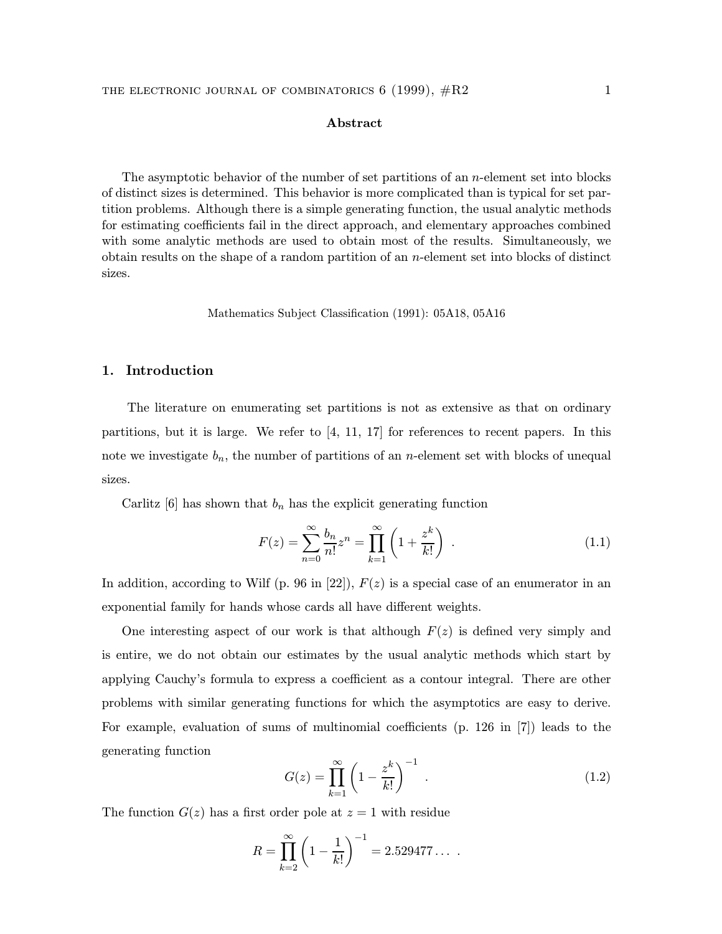# Abstract

The asymptotic behavior of the number of set partitions of an  $n$ -element set into blocks of distinct sizes is determined. This behavior is more complicated than is typical for set partition problems. Although there is a simple generating function, the usual analytic methods for estimating coefficients fail in the direct approach, and elementary approaches combined with some analytic methods are used to obtain most of the results. Simultaneously, we obtain results on the shape of a random partition of an n-element set into blocks of distinct sizes.

Mathematics Subject Classification (1991): 05A18, 05A16

# 1. Introduction

The literature on enumerating set partitions is not as extensive as that on ordinary partitions, but it is large. We refer to [4, 11, 17] for references to recent papers. In this note we investigate  $b_n$ , the number of partitions of an *n*-element set with blocks of unequal sizes.

Carlitz [6] has shown that  $b_n$  has the explicit generating function

$$
F(z) = \sum_{n=0}^{\infty} \frac{b_n}{n!} z^n = \prod_{k=1}^{\infty} \left( 1 + \frac{z^k}{k!} \right) . \tag{1.1}
$$

In addition, according to Wilf (p. 96 in [22]),  $F(z)$  is a special case of an enumerator in an exponential family for hands whose cards all have different weights.

One interesting aspect of our work is that although  $F(z)$  is defined very simply and is entire, we do not obtain our estimates by the usual analytic methods which start by applying Cauchy's formula to express a coefficient as a contour integral. There are other problems with similar generating functions for which the asymptotics are easy to derive. For example, evaluation of sums of multinomial coefficients (p. 126 in [7]) leads to the generating function

$$
G(z) = \prod_{k=1}^{\infty} \left( 1 - \frac{z^k}{k!} \right)^{-1} .
$$
 (1.2)

The function  $G(z)$  has a first order pole at  $z = 1$  with residue

$$
R = \prod_{k=2}^{\infty} \left( 1 - \frac{1}{k!} \right)^{-1} = 2.529477\dots
$$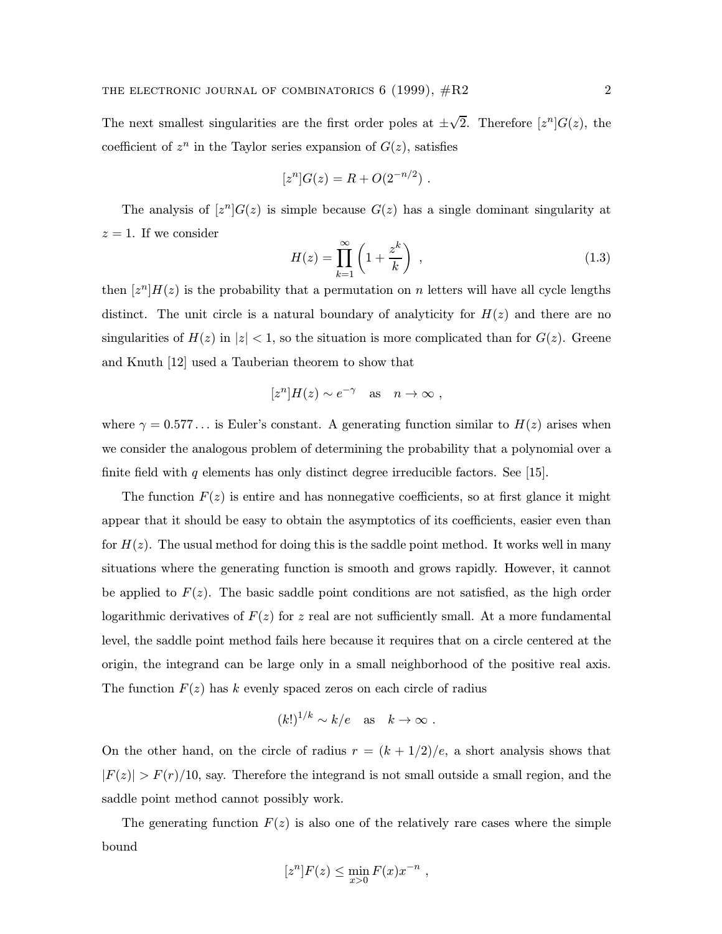The next smallest singularities are the first order poles at  $\pm\sqrt{2}$ . Therefore  $[z^n]G(z)$ , the coefficient of  $z^n$  in the Taylor series expansion of  $G(z)$ , satisfies

$$
[zn]G(z) = R + O(2-n/2) .
$$

The analysis of  $[z^n]G(z)$  is simple because  $G(z)$  has a single dominant singularity at  $z = 1$ . If we consider

$$
H(z) = \prod_{k=1}^{\infty} \left( 1 + \frac{z^k}{k} \right) , \qquad (1.3)
$$

then  $[z^n]H(z)$  is the probability that a permutation on n letters will have all cycle lengths distinct. The unit circle is a natural boundary of analyticity for  $H(z)$  and there are no singularities of  $H(z)$  in  $|z| < 1$ , so the situation is more complicated than for  $G(z)$ . Greene and Knuth [12] used a Tauberian theorem to show that

$$
[z^n]H(z) \sim e^{-\gamma} \quad \text{as} \quad n \to \infty ,
$$

where  $\gamma = 0.577...$  is Euler's constant. A generating function similar to  $H(z)$  arises when we consider the analogous problem of determining the probability that a polynomial over a finite field with q elements has only distinct degree irreducible factors. See [15].

The function  $F(z)$  is entire and has nonnegative coefficients, so at first glance it might appear that it should be easy to obtain the asymptotics of its coefficients, easier even than for  $H(z)$ . The usual method for doing this is the saddle point method. It works well in many situations where the generating function is smooth and grows rapidly. However, it cannot be applied to  $F(z)$ . The basic saddle point conditions are not satisfied, as the high order logarithmic derivatives of  $F(z)$  for z real are not sufficiently small. At a more fundamental level, the saddle point method fails here because it requires that on a circle centered at the origin, the integrand can be large only in a small neighborhood of the positive real axis. The function  $F(z)$  has k evenly spaced zeros on each circle of radius

$$
(k!)^{1/k} \sim k/e
$$
 as  $k \to \infty$ .

On the other hand, on the circle of radius  $r = (k + 1/2)/e$ , a short analysis shows that  $|F(z)| > F(r)/10$ , say. Therefore the integrand is not small outside a small region, and the saddle point method cannot possibly work.

The generating function  $F(z)$  is also one of the relatively rare cases where the simple bound

$$
[z^n]F(z) \le \min_{x>0} F(x)x^{-n} ,
$$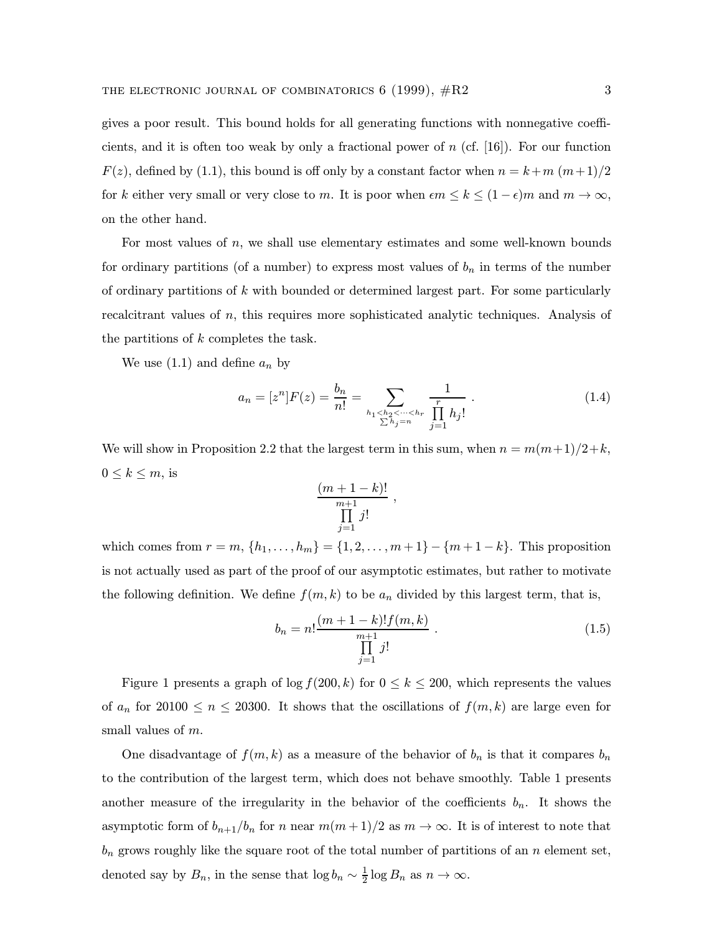gives a poor result. This bound holds for all generating functions with nonnegative coefficients, and it is often too weak by only a fractional power of  $n$  (cf. [16]). For our function  $F(z)$ , defined by (1.1), this bound is off only by a constant factor when  $n = k+m (m+1)/2$ for k either very small or very close to m. It is poor when  $\epsilon m \leq k \leq (1 - \epsilon)m$  and  $m \to \infty$ , on the other hand.

For most values of  $n$ , we shall use elementary estimates and some well-known bounds for ordinary partitions (of a number) to express most values of  $b_n$  in terms of the number of ordinary partitions of k with bounded or determined largest part. For some particularly recalcitrant values of n, this requires more sophisticated analytic techniques. Analysis of the partitions of k completes the task.

We use  $(1.1)$  and define  $a_n$  by

$$
a_n = [z^n]F(z) = \frac{b_n}{n!} = \sum_{\substack{h_1 < h_2 < \dots < h_r \\ \sum h_j = n}} \frac{1}{\prod_{j=1}^r h_j!} \tag{1.4}
$$

We will show in Proposition 2.2 that the largest term in this sum, when  $n = m(m+1)/2+k$ ,  $0 \leq k \leq m$ , is

$$
\frac{(m+1-k)!}{\prod_{j=1}^{m+1}j!},
$$

which comes from  $r = m, \{h_1, ..., h_m\} = \{1, 2, ..., m+1\} - \{m+1-k\}$ . This proposition is not actually used as part of the proof of our asymptotic estimates, but rather to motivate the following definition. We define  $f(m, k)$  to be  $a_n$  divided by this largest term, that is,

$$
b_n = n! \frac{(m+1-k)! f(m,k)}{\prod_{j=1}^{m+1} j!} \tag{1.5}
$$

Figure 1 presents a graph of  $\log f(200, k)$  for  $0 \le k \le 200$ , which represents the values of  $a_n$  for 20100  $\leq n \leq 20300$ . It shows that the oscillations of  $f(m, k)$  are large even for small values of m.

One disadvantage of  $f(m, k)$  as a measure of the behavior of  $b_n$  is that it compares  $b_n$ to the contribution of the largest term, which does not behave smoothly. Table 1 presents another measure of the irregularity in the behavior of the coefficients  $b_n$ . It shows the asymptotic form of  $b_{n+1}/b_n$  for n near  $m(m+1)/2$  as  $m \to \infty$ . It is of interest to note that  $b_n$  grows roughly like the square root of the total number of partitions of an n element set, denoted say by  $B_n$ , in the sense that  $\log b_n \sim \frac{1}{2} \log B_n$  as  $n \to \infty$ .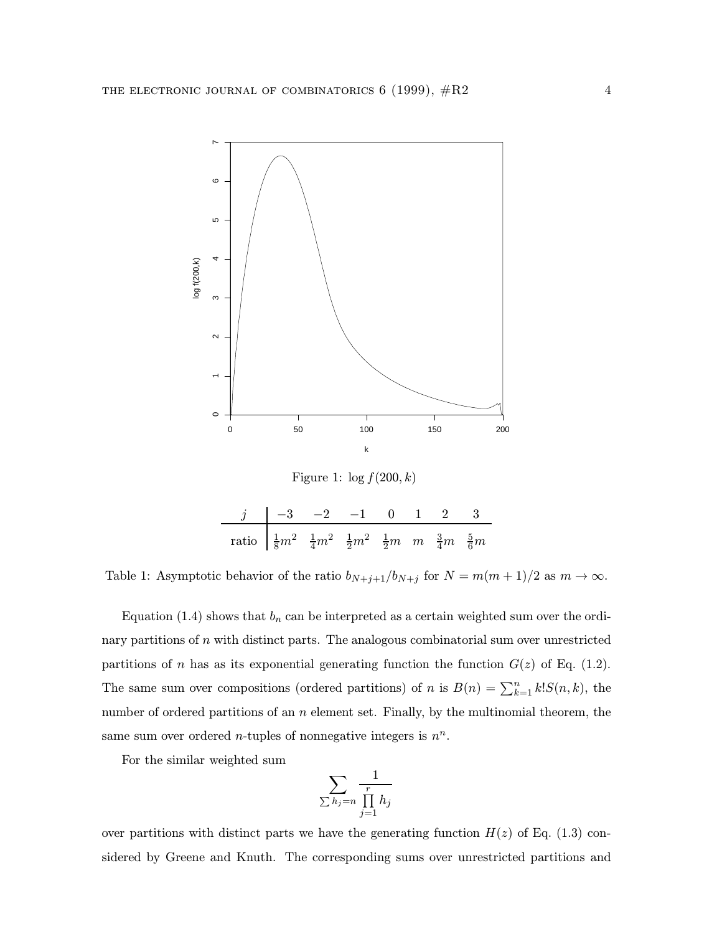

Figure 1:  $\log f(200, k)$ 

| $j \begin{vmatrix} -3 & -2 & -1 & 0 & 1 & 2 & 3 \end{vmatrix}$                                            |  |  |  |  |
|-----------------------------------------------------------------------------------------------------------|--|--|--|--|
| ratio $\frac{1}{8}m^2$ $\frac{1}{4}m^2$ $\frac{1}{2}m^2$ $\frac{1}{2}m$ $m$ $\frac{3}{4}m$ $\frac{5}{6}m$ |  |  |  |  |

Table 1: Asymptotic behavior of the ratio  $b_{N+j+1}/b_{N+j}$  for  $N = m(m+1)/2$  as  $m \to \infty$ .

Equation (1.4) shows that  $b_n$  can be interpreted as a certain weighted sum over the ordinary partitions of n with distinct parts. The analogous combinatorial sum over unrestricted partitions of n has as its exponential generating function the function  $G(z)$  of Eq. (1.2). The same sum over compositions (ordered partitions) of n is  $B(n) = \sum_{k=1}^{n} k! S(n, k)$ , the number of ordered partitions of an  $n$  element set. Finally, by the multinomial theorem, the same sum over ordered *n*-tuples of nonnegative integers is  $n^n$ .

For the similar weighted sum

$$
\sum_{\sum h_j = n} \frac{1}{\prod_{j=1}^r h_j}
$$

over partitions with distinct parts we have the generating function  $H(z)$  of Eq. (1.3) considered by Greene and Knuth. The corresponding sums over unrestricted partitions and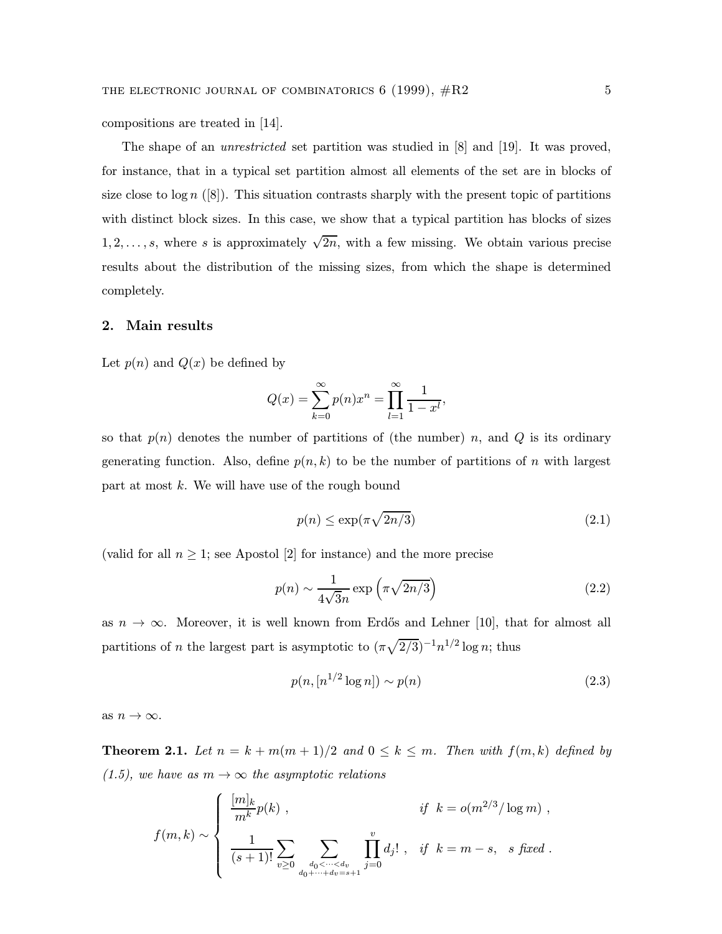compositions are treated in [14].

The shape of an *unrestricted* set partition was studied in [8] and [19]. It was proved, for instance, that in a typical set partition almost all elements of the set are in blocks of size close to  $\log n$  ([8]). This situation contrasts sharply with the present topic of partitions with distinct block sizes. In this case, we show that a typical partition has blocks of sizes  $1, 2, \ldots, s$ , where s is approximately  $\sqrt{2n}$ , with a few missing. We obtain various precise results about the distribution of the missing sizes, from which the shape is determined completely.

### 2. Main results

Let  $p(n)$  and  $Q(x)$  be defined by

$$
Q(x) = \sum_{k=0}^{\infty} p(n)x^{n} = \prod_{l=1}^{\infty} \frac{1}{1 - x^{l}},
$$

so that  $p(n)$  denotes the number of partitions of (the number) n, and Q is its ordinary generating function. Also, define  $p(n, k)$  to be the number of partitions of n with largest part at most  $k$ . We will have use of the rough bound

$$
p(n) \le \exp(\pi \sqrt{2n/3})\tag{2.1}
$$

(valid for all  $n \geq 1$ ; see Apostol [2] for instance) and the more precise

$$
p(n) \sim \frac{1}{4\sqrt{3}n} \exp\left(\pi \sqrt{2n/3}\right)
$$
 (2.2)

as  $n \to \infty$ . Moreover, it is well known from Erdős and Lehner [10], that for almost all partitions of *n* the largest part is asymptotic to  $(\pi\sqrt{2/3})^{-1}n^{1/2}\log n$ ; thus

$$
p(n, [n^{1/2} \log n]) \sim p(n)
$$
\n(2.3)

as  $n \to \infty$ .

**Theorem 2.1.** Let  $n = k + m(m + 1)/2$  and  $0 \le k \le m$ . Then with  $f(m, k)$  defined by  $(1.5)$ , we have as  $m \to \infty$  the asymptotic relations

$$
f(m,k) \sim \begin{cases} \frac{[m]_k}{m^k} p(k) , & \text{if } k = o(m^{2/3}/\log m) ,\\ \frac{1}{(s+1)!} \sum_{v \geq 0} \sum_{\substack{d_0 < \dots < d_v \\ d_0 + \dots + d_v = s+1}} \prod_{j=0}^v d_j! , & \text{if } k = m-s, \text{ s fixed .} \end{cases}
$$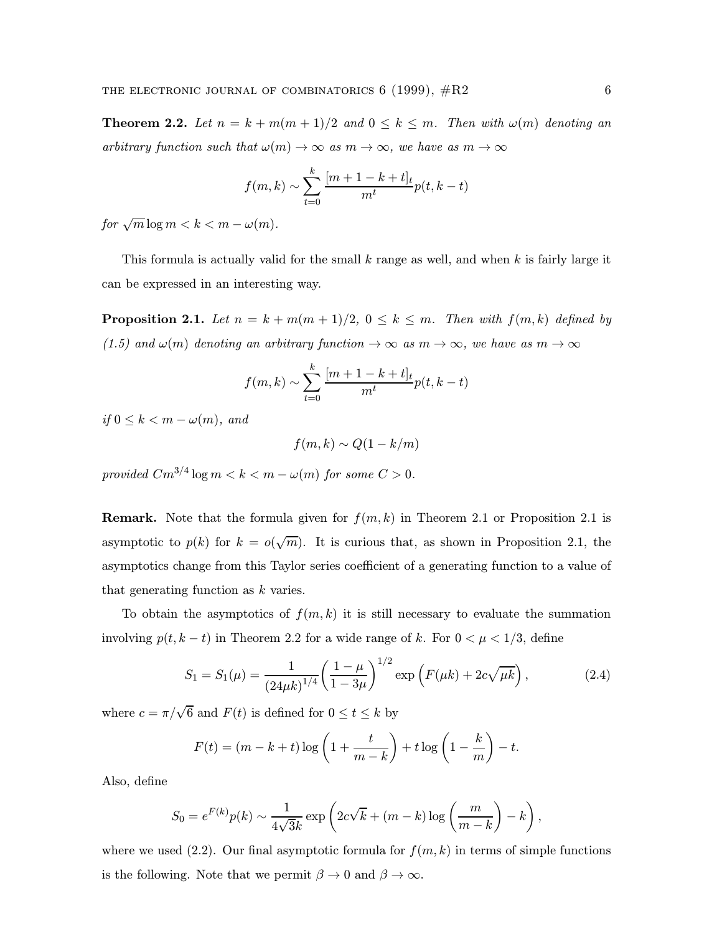**Theorem 2.2.** Let  $n = k + m(m + 1)/2$  and  $0 \le k \le m$ . Then with  $\omega(m)$  denoting an arbitrary function such that  $\omega(m) \to \infty$  as  $m \to \infty$ , we have as  $m \to \infty$ 

$$
f(m,k) \sim \sum_{t=0}^{k} \frac{[m+1-k+t]_t}{m^t} p(t, k-t)
$$

for  $\sqrt{m} \log m < k < m - \omega(m)$ .

This formula is actually valid for the small  $k$  range as well, and when  $k$  is fairly large it can be expressed in an interesting way.

**Proposition 2.1.** Let  $n = k + m(m + 1)/2$ ,  $0 \le k \le m$ . Then with  $f(m, k)$  defined by (1.5) and  $\omega(m)$  denoting an arbitrary function  $\rightarrow \infty$  as  $m \rightarrow \infty$ , we have as  $m \rightarrow \infty$ 

$$
f(m,k) \sim \sum_{t=0}^{k} \frac{[m+1-k+t]_t}{m^t} p(t, k-t)
$$

if  $0 \leq k \leq m - \omega(m)$ , and

 $f(m, k) \sim Q(1 - k/m)$ 

provided  $Cm^{3/4}\log m < k < m - \omega(m)$  for some  $C > 0$ .

**Remark.** Note that the formula given for  $f(m, k)$  in Theorem 2.1 or Proposition 2.1 is asymptotic to  $p(k)$  for  $k = o(\sqrt{m})$ . It is curious that, as shown in Proposition 2.1, the asymptotics change from this Taylor series coefficient of a generating function to a value of that generating function as k varies.

To obtain the asymptotics of  $f(m, k)$  it is still necessary to evaluate the summation involving  $p(t, k - t)$  in Theorem 2.2 for a wide range of k. For  $0 < \mu < 1/3$ , define

$$
S_1 = S_1(\mu) = \frac{1}{(24\mu k)^{1/4}} \left(\frac{1-\mu}{1-3\mu}\right)^{1/2} \exp\left(F(\mu k) + 2c\sqrt{\mu k}\right),\tag{2.4}
$$

where  $c = \pi/\sqrt{6}$  and  $F(t)$  is defined for  $0 \le t \le k$  by

$$
F(t) = (m - k + t) \log \left( 1 + \frac{t}{m - k} \right) + t \log \left( 1 - \frac{k}{m} \right) - t.
$$

Also, define

$$
S_0 = e^{F(k)}p(k) \sim \frac{1}{4\sqrt{3}k} \exp\left(2c\sqrt{k} + (m-k)\log\left(\frac{m}{m-k}\right) - k\right),
$$

where we used (2.2). Our final asymptotic formula for  $f(m, k)$  in terms of simple functions is the following. Note that we permit  $\beta \to 0$  and  $\beta \to \infty$ .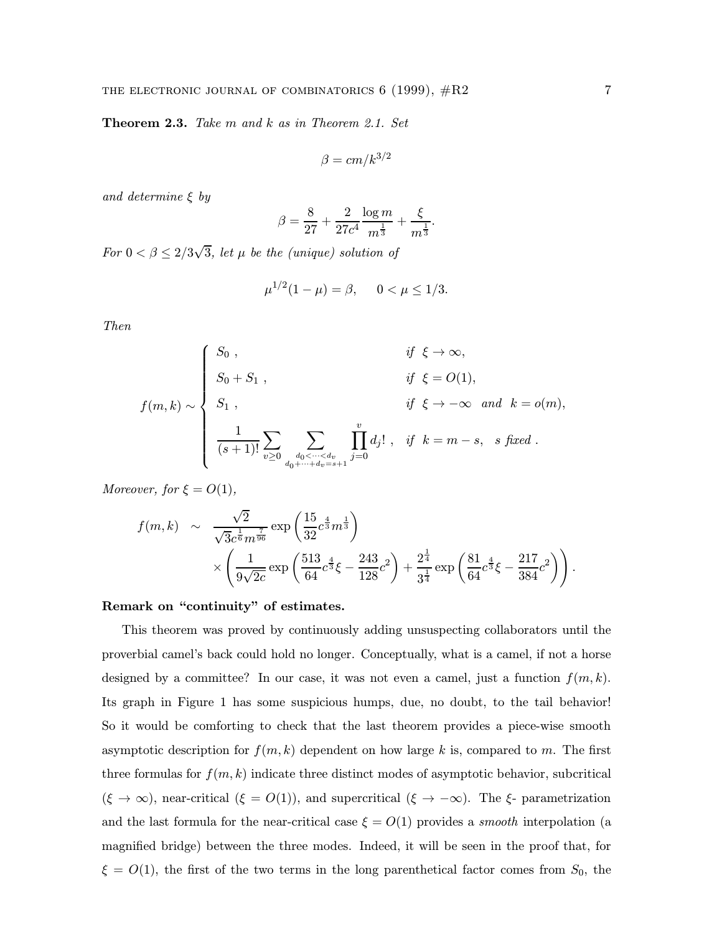Theorem 2.3. Take m and k as in Theorem 2.1. Set

$$
\beta = cm/k^{3/2}
$$

and determine  $\xi$  by

$$
\beta = \frac{8}{27} + \frac{2}{27c^4} \frac{\log m}{m^{\frac{1}{3}}} + \frac{\xi}{m^{\frac{1}{3}}}.
$$

For  $0 < \beta \leq 2/3\sqrt{3}$ , let  $\mu$  be the (unique) solution of

$$
\mu^{1/2}(1-\mu) = \beta, \quad 0 < \mu \le 1/3.
$$

Then

$$
f(m,k) \sim \begin{cases} S_0, & \text{if } \xi \to \infty, \\ S_0 + S_1, & \text{if } \xi = O(1), \\ S_1, & \text{if } \xi \to -\infty \text{ and } k = o(m), \\ \frac{1}{(s+1)!} \sum_{v \ge 0} \sum_{\substack{d_0 < \dots < d_v \\ d_0 + \dots + d_v = s+1}} \prod_{j=0}^v d_j! \quad \text{if } k = m-s, \text{ s fixed}. \end{cases}
$$

Moreover, for  $\xi = O(1)$ ,

$$
f(m,k) \sim \frac{\sqrt{2}}{\sqrt{3}c^{\frac{1}{6}}m^{\frac{7}{96}}} \exp\left(\frac{15}{32}c^{\frac{4}{3}}m^{\frac{1}{3}}\right) \times \left(\frac{1}{9\sqrt{2c}} \exp\left(\frac{513}{64}c^{\frac{4}{3}}\xi - \frac{243}{128}c^2\right) + \frac{2^{\frac{1}{4}}}{3^{\frac{1}{4}}} \exp\left(\frac{81}{64}c^{\frac{4}{3}}\xi - \frac{217}{384}c^2\right)\right).
$$

Remark on "continuity" of estimates.

This theorem was proved by continuously adding unsuspecting collaborators until the proverbial camel's back could hold no longer. Conceptually, what is a camel, if not a horse designed by a committee? In our case, it was not even a camel, just a function  $f(m, k)$ . Its graph in Figure 1 has some suspicious humps, due, no doubt, to the tail behavior! So it would be comforting to check that the last theorem provides a piece-wise smooth asymptotic description for  $f(m, k)$  dependent on how large k is, compared to m. The first three formulas for  $f(m, k)$  indicate three distinct modes of asymptotic behavior, subcritical  $(\xi \to \infty)$ , near-critical  $(\xi = O(1))$ , and supercritical  $(\xi \to -\infty)$ . The  $\xi$ - parametrization and the last formula for the near-critical case  $\xi = O(1)$  provides a *smooth* interpolation (a magnified bridge) between the three modes. Indeed, it will be seen in the proof that, for  $\xi = O(1)$ , the first of the two terms in the long parenthetical factor comes from  $S_0$ , the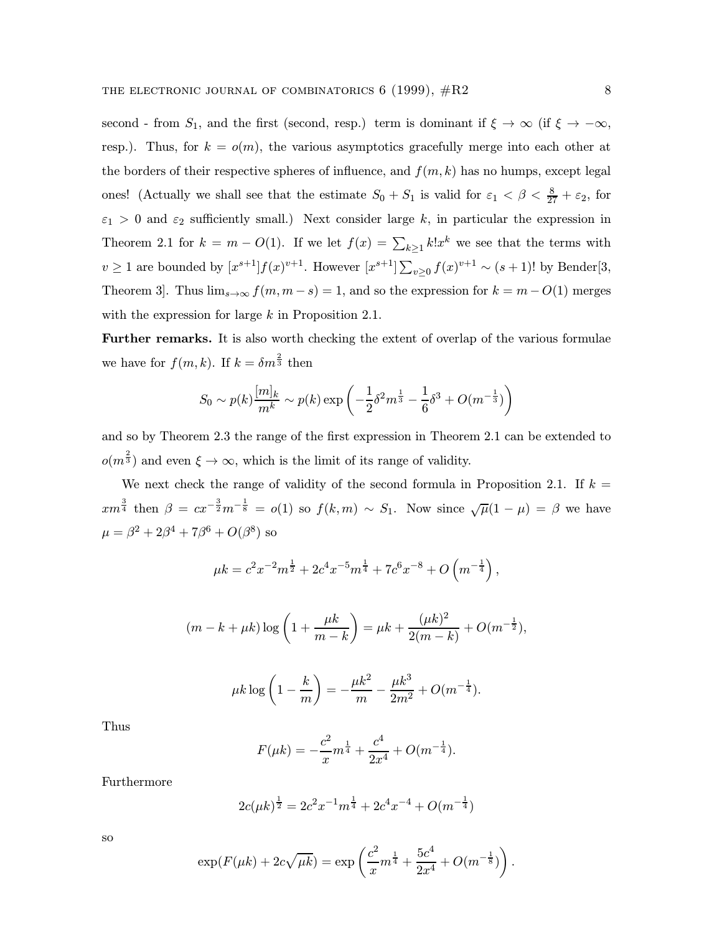second - from  $S_1$ , and the first (second, resp.) term is dominant if  $\xi \to \infty$  (if  $\xi \to -\infty$ , resp.). Thus, for  $k = o(m)$ , the various asymptotics gracefully merge into each other at the borders of their respective spheres of influence, and  $f(m, k)$  has no humps, except legal ones! (Actually we shall see that the estimate  $S_0 + S_1$  is valid for  $\varepsilon_1 < \beta < \frac{8}{27} + \varepsilon_2$ , for  $\varepsilon_1 > 0$  and  $\varepsilon_2$  sufficiently small.) Next consider large k, in particular the expression in Theorem 2.1 for  $k = m - O(1)$ . If we let  $f(x) = \sum_{k \geq 1} k! x^k$  we see that the terms with  $v \ge 1$  are bounded by  $[x^{s+1}]f(x)^{v+1}$ . However  $[x^{s+1}] \sum_{v\ge 0} f(x)^{v+1} \sim (s+1)!$  by Bender[3, Theorem 3]. Thus  $\lim_{s\to\infty} f(m, m - s) = 1$ , and so the expression for  $k = m - O(1)$  merges with the expression for large k in Proposition 2.1.

Further remarks. It is also worth checking the extent of overlap of the various formulae we have for  $f(m, k)$ . If  $k = \delta m^{\frac{2}{3}}$  then

$$
S_0 \sim p(k) \frac{[m]_k}{m^k} \sim p(k) \exp\left(-\frac{1}{2}\delta^2 m^{\frac{1}{3}} - \frac{1}{6}\delta^3 + O(m^{-\frac{1}{3}})\right)
$$

and so by Theorem 2.3 the range of the first expression in Theorem 2.1 can be extended to  $o(m^{\frac{2}{3}})$  and even  $\xi \to \infty$ , which is the limit of its range of validity.

We next check the range of validity of the second formula in Proposition 2.1. If  $k =$  $xm^{\frac{3}{4}}$  then  $\beta = cx^{-\frac{3}{2}}m^{-\frac{1}{8}} = o(1)$  so  $f(k,m) \sim S_1$ . Now since  $\sqrt{\mu}(1-\mu) = \beta$  we have  $\mu = \beta^2 + 2\beta^4 + 7\beta^6 + O(\beta^8)$  so

$$
\mu k = c^2 x^{-2} m^{\frac{1}{2}} + 2c^4 x^{-5} m^{\frac{1}{4}} + 7c^6 x^{-8} + O\left(m^{-\frac{1}{4}}\right),
$$

$$
(m-k+\mu k)\log\left(1+\frac{\mu k}{m-k}\right) = \mu k + \frac{(\mu k)^2}{2(m-k)} + O(m^{-\frac{1}{2}}),
$$

$$
\mu k \log \left( 1 - \frac{k}{m} \right) = -\frac{\mu k^2}{m} - \frac{\mu k^3}{2m^2} + O(m^{-\frac{1}{4}}).
$$

Thus

$$
F(\mu k) = -\frac{c^2}{x}m^{\frac{1}{4}} + \frac{c^4}{2x^4} + O(m^{-\frac{1}{4}}).
$$

Furthermore

$$
2c(\mu k)^{\frac{1}{2}} = 2c^2 x^{-1} m^{\frac{1}{4}} + 2c^4 x^{-4} + O(m^{-\frac{1}{4}})
$$

so

$$
\exp(F(\mu k) + 2c\sqrt{\mu k}) = \exp\left(\frac{c^2}{x}m^{\frac{1}{4}} + \frac{5c^4}{2x^4} + O(m^{-\frac{1}{8}})\right).
$$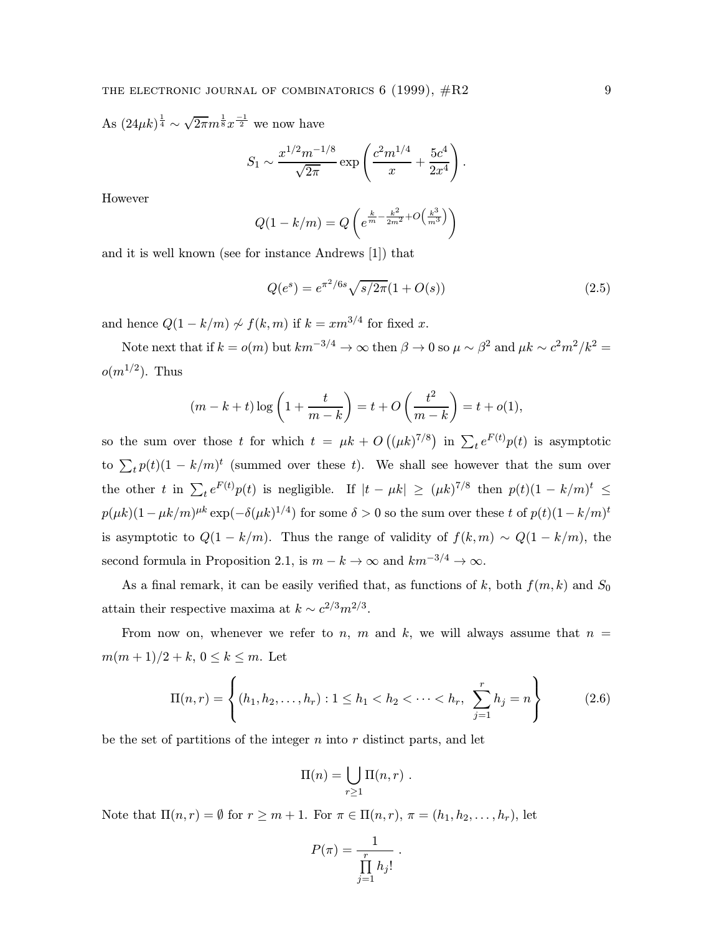As  $(24\mu k)^{\frac{1}{4}} \sim \sqrt{2\pi} m^{\frac{1}{8}} x^{\frac{-1}{2}}$  we now have

$$
S_1 \sim \frac{x^{1/2}m^{-1/8}}{\sqrt{2\pi}} \exp\left(\frac{c^2m^{1/4}}{x} + \frac{5c^4}{2x^4}\right).
$$

However

$$
Q(1 - k/m) = Q\left(e^{\frac{k}{m} - \frac{k^2}{2m^2} + O\left(\frac{k^3}{m^3}\right)}\right)
$$

and it is well known (see for instance Andrews [1]) that

$$
Q(e^s) = e^{\pi^2/6s} \sqrt{s/2\pi} (1 + O(s))
$$
\n(2.5)

and hence  $Q(1 - k/m) \nsim f(k, m)$  if  $k = xm^{3/4}$  for fixed x.

Note next that if  $k = o(m)$  but  $km^{-3/4} \to \infty$  then  $\beta \to 0$  so  $\mu \sim \beta^2$  and  $\mu k \sim c^2 m^2 / k^2 =$  $o(m^{1/2})$ . Thus

$$
(m-k+t)\log\left(1+\frac{t}{m-k}\right) = t + O\left(\frac{t^2}{m-k}\right) = t + o(1),
$$

so the sum over those t for which  $t = \mu k + O((\mu k)^{7/8})$  in  $\sum_t e^{F(t)} p(t)$  is asymptotic to  $\sum_t p(t)(1 - k/m)^t$  (summed over these t). We shall see however that the sum over the other t in  $\sum_t e^{F(t)} p(t)$  is negligible. If  $|t - \mu k| \geq (\mu k)^{7/8}$  then  $p(t)(1 - k/m)^t \leq$  $p(\mu k)(1-\mu k/m)^{\mu k} \exp(-\delta(\mu k)^{1/4})$  for some  $\delta > 0$  so the sum over these t of  $p(t)(1-k/m)^t$ is asymptotic to  $Q(1 - k/m)$ . Thus the range of validity of  $f(k,m) \sim Q(1 - k/m)$ , the second formula in Proposition 2.1, is  $m - k \to \infty$  and  $km^{-3/4} \to \infty$ .

As a final remark, it can be easily verified that, as functions of k, both  $f(m, k)$  and  $S_0$ attain their respective maxima at  $k \sim c^{2/3} m^{2/3}$ .

From now on, whenever we refer to n, m and k, we will always assume that  $n =$  $m(m+1)/2 + k, 0 \leq k \leq m$ . Let

$$
\Pi(n,r) = \left\{ (h_1, h_2, \dots, h_r) : 1 \le h_1 < h_2 < \dots < h_r, \sum_{j=1}^r h_j = n \right\} \tag{2.6}
$$

be the set of partitions of the integer  $n$  into  $r$  distinct parts, and let

$$
\Pi(n) = \bigcup_{r \geq 1} \Pi(n,r) .
$$

Note that  $\Pi(n,r) = \emptyset$  for  $r \geq m+1$ . For  $\pi \in \Pi(n,r)$ ,  $\pi = (h_1, h_2, \ldots, h_r)$ , let

$$
P(\pi) = \frac{1}{\prod_{j=1}^r h_j!}.
$$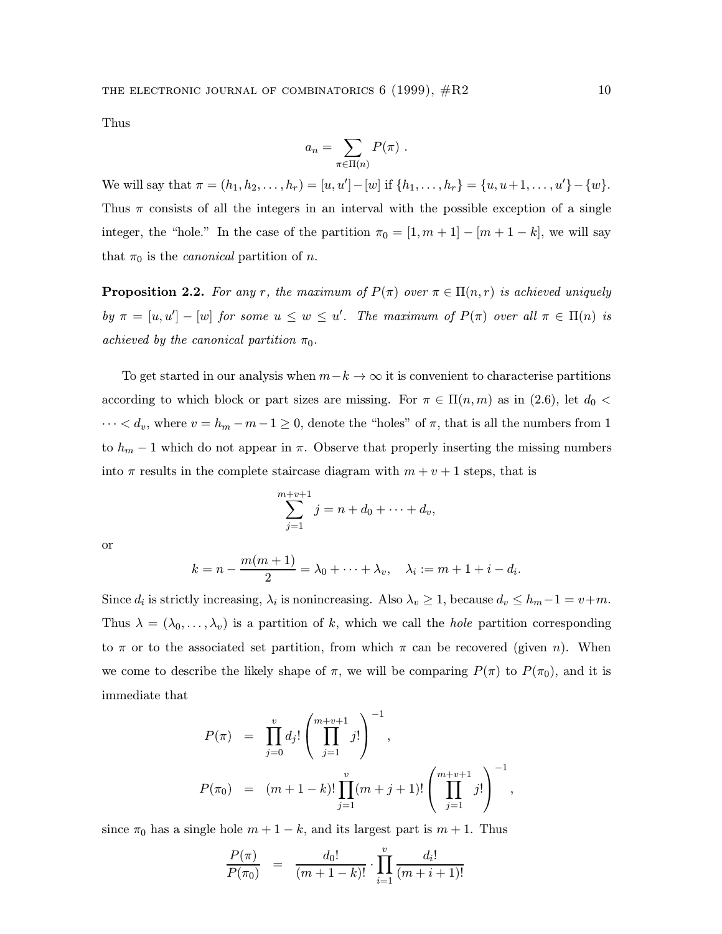Thus

$$
a_n = \sum_{\pi \in \Pi(n)} P(\pi) .
$$

We will say that  $\pi = (h_1, h_2, \ldots, h_r) = [u, u'] - [w]$  if  $\{h_1, \ldots, h_r\} = \{u, u+1, \ldots, u'\} - \{w\}.$ Thus  $\pi$  consists of all the integers in an interval with the possible exception of a single integer, the "hole." In the case of the partition  $\pi_0 = [1, m + 1] - [m + 1 - k]$ , we will say that  $\pi_0$  is the *canonical* partition of *n*.

**Proposition 2.2.** For any r, the maximum of  $P(\pi)$  over  $\pi \in \Pi(n,r)$  is achieved uniquely by  $\pi = [u, u'] - [w]$  for some  $u \leq w \leq u'$ . The maximum of  $P(\pi)$  over all  $\pi \in \Pi(n)$  is achieved by the canonical partition  $\pi_0$ .

To get started in our analysis when  $m-k \to \infty$  it is convenient to characterise partitions according to which block or part sizes are missing. For  $\pi \in \Pi(n,m)$  as in (2.6), let  $d_0$  <  $\cdots < d_v$ , where  $v = h_m - m - 1 \ge 0$ , denote the "holes" of  $\pi$ , that is all the numbers from 1 to  $h_m - 1$  which do not appear in  $\pi$ . Observe that properly inserting the missing numbers into  $\pi$  results in the complete staircase diagram with  $m + v + 1$  steps, that is

$$
\sum_{j=1}^{m+v+1} j = n + d_0 + \dots + d_v,
$$

or

$$
k=n-\frac{m(m+1)}{2}=\lambda_0+\cdots+\lambda_v,\quad \lambda_i:=m+1+i-d_i.
$$

Since  $d_i$  is strictly increasing,  $\lambda_i$  is nonincreasing. Also  $\lambda_v \geq 1$ , because  $d_v \leq h_m-1 = v+m$ . Thus  $\lambda = (\lambda_0, \ldots, \lambda_v)$  is a partition of k, which we call the hole partition corresponding to  $\pi$  or to the associated set partition, from which  $\pi$  can be recovered (given n). When we come to describe the likely shape of  $\pi$ , we will be comparing  $P(\pi)$  to  $P(\pi_0)$ , and it is immediate that

$$
P(\pi) = \prod_{j=0}^{v} d_j! \left( \prod_{j=1}^{m+v+1} j! \right)^{-1},
$$
  

$$
P(\pi_0) = (m+1-k)! \prod_{j=1}^{v} (m+j+1)! \left( \prod_{j=1}^{m+v+1} j! \right)^{-1},
$$

since  $\pi_0$  has a single hole  $m + 1 - k$ , and its largest part is  $m + 1$ . Thus

$$
\frac{P(\pi)}{P(\pi_0)} = \frac{d_0!}{(m+1-k)!} \cdot \prod_{i=1}^v \frac{d_i!}{(m+i+1)!}
$$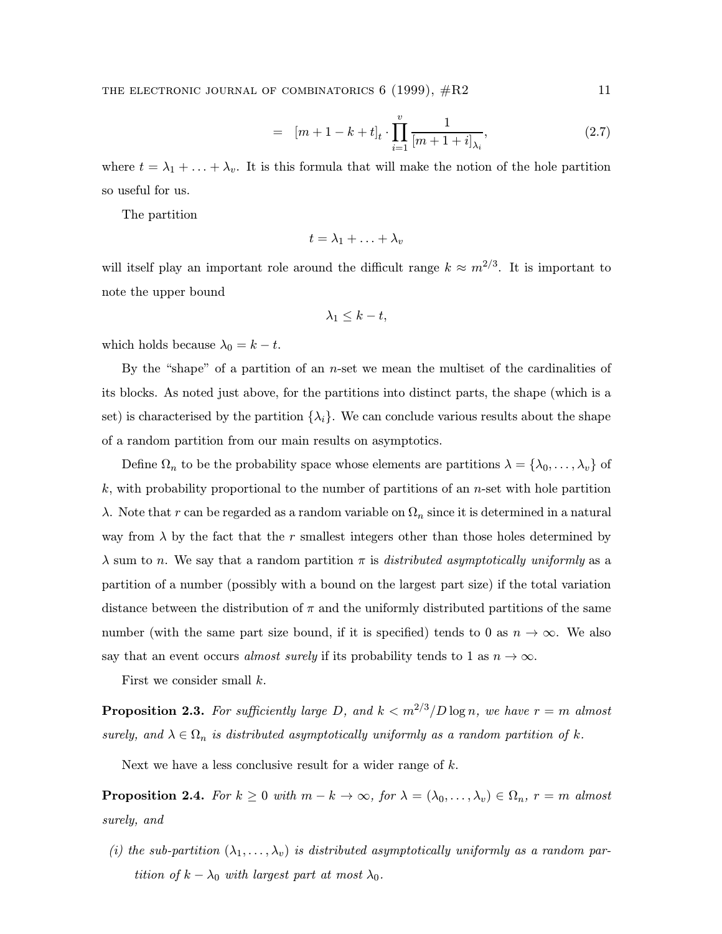$$
= [m+1-k+t]_t \cdot \prod_{i=1}^v \frac{1}{[m+1+i]_{\lambda_i}}, \tag{2.7}
$$

where  $t = \lambda_1 + \ldots + \lambda_v$ . It is this formula that will make the notion of the hole partition so useful for us.

The partition

$$
t=\lambda_1+\ldots+\lambda_v
$$

will itself play an important role around the difficult range  $k \approx m^{2/3}$ . It is important to note the upper bound

$$
\lambda_1 \leq k - t,
$$

which holds because  $\lambda_0 = k - t$ .

By the "shape" of a partition of an  $n$ -set we mean the multiset of the cardinalities of its blocks. As noted just above, for the partitions into distinct parts, the shape (which is a set) is characterised by the partition  $\{\lambda_i\}$ . We can conclude various results about the shape of a random partition from our main results on asymptotics.

Define  $\Omega_n$  to be the probability space whose elements are partitions  $\lambda = {\lambda_0, \ldots, \lambda_v}$  of  $k$ , with probability proportional to the number of partitions of an *n*-set with hole partition λ. Note that r can be regarded as a random variable on  $\Omega_n$  since it is determined in a natural way from  $\lambda$  by the fact that the r smallest integers other than those holes determined by  $\lambda$  sum to n. We say that a random partition  $\pi$  is *distributed asymptotically uniformly* as a partition of a number (possibly with a bound on the largest part size) if the total variation distance between the distribution of  $\pi$  and the uniformly distributed partitions of the same number (with the same part size bound, if it is specified) tends to 0 as  $n \to \infty$ . We also say that an event occurs almost surely if its probability tends to 1 as  $n \to \infty$ .

First we consider small k.

**Proposition 2.3.** For sufficiently large D, and  $k < m^{2/3}/D \log n$ , we have  $r = m$  almost surely, and  $\lambda \in \Omega_n$  is distributed asymptotically uniformly as a random partition of k.

Next we have a less conclusive result for a wider range of k.

**Proposition 2.4.** For  $k \geq 0$  with  $m - k \to \infty$ , for  $\lambda = (\lambda_0, \dots, \lambda_v) \in \Omega_n$ ,  $r = m$  almost surely, and

(i) the sub-partition  $(\lambda_1,\ldots,\lambda_v)$  is distributed asymptotically uniformly as a random partition of  $k - \lambda_0$  with largest part at most  $\lambda_0$ .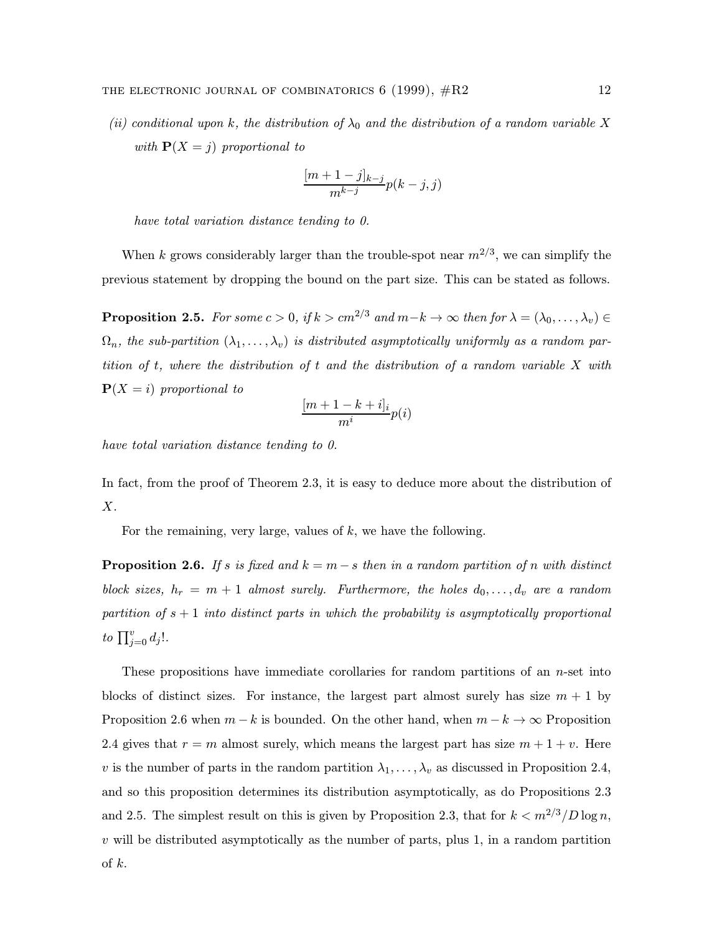(ii) conditional upon k, the distribution of  $\lambda_0$  and the distribution of a random variable X with  $P(X = j)$  proportional to

$$
\frac{[m+1-j]_{k-j}}{m^{k-j}}p(k-j,j)
$$

have total variation distance tending to 0.

When k grows considerably larger than the trouble-spot near  $m^{2/3}$ , we can simplify the previous statement by dropping the bound on the part size. This can be stated as follows.

**Proposition 2.5.** For some  $c > 0$ , if  $k > cm^{2/3}$  and  $m-k \to \infty$  then for  $\lambda = (\lambda_0, \dots, \lambda_v) \in$  $\Omega_n$ , the sub-partition  $(\lambda_1,\ldots,\lambda_v)$  is distributed asymptotically uniformly as a random partition of t, where the distribution of t and the distribution of a random variable X with  $P(X = i)$  proportional to

$$
\frac{[m+1-k+i]_i}{m^i}p(i)
$$

have total variation distance tending to 0.

In fact, from the proof of Theorem 2.3, it is easy to deduce more about the distribution of X.

For the remaining, very large, values of  $k$ , we have the following.

**Proposition 2.6.** If s is fixed and  $k = m - s$  then in a random partition of n with distinct block sizes,  $h_r = m + 1$  almost surely. Furthermore, the holes  $d_0, \ldots, d_v$  are a random partition of  $s + 1$  into distinct parts in which the probability is asymptotically proportional to  $\prod_{j=0}^{v} d_j!$ .

These propositions have immediate corollaries for random partitions of an  $n$ -set into blocks of distinct sizes. For instance, the largest part almost surely has size  $m + 1$  by Proposition 2.6 when  $m - k$  is bounded. On the other hand, when  $m - k \to \infty$  Proposition 2.4 gives that  $r = m$  almost surely, which means the largest part has size  $m + 1 + v$ . Here v is the number of parts in the random partition  $\lambda_1, \ldots, \lambda_v$  as discussed in Proposition 2.4, and so this proposition determines its distribution asymptotically, as do Propositions 2.3 and 2.5. The simplest result on this is given by Proposition 2.3, that for  $k < m^{2/3}/D \log n$ ,  $v$  will be distributed asymptotically as the number of parts, plus 1, in a random partition of  $k$ .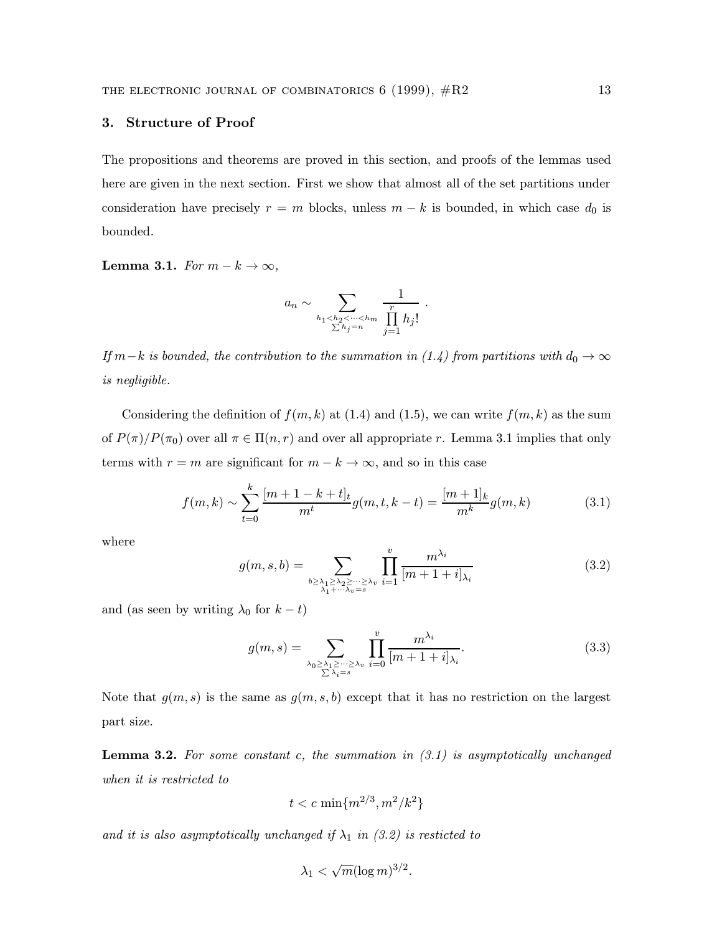# 3. Structure of Proof

The propositions and theorems are proved in this section, and proofs of the lemmas used here are given in the next section. First we show that almost all of the set partitions under consideration have precisely  $r = m$  blocks, unless  $m - k$  is bounded, in which case  $d_0$  is bounded.

Lemma 3.1. For  $m - k \rightarrow \infty$ ,

$$
a_n \sim \sum_{\substack{h_1 < h_2 < \dots < h_m \\ \sum h_j = n}} \frac{1}{\prod_{j=1}^r h_j!} \; .
$$

If  $m-k$  is bounded, the contribution to the summation in (1.4) from partitions with  $d_0 \to \infty$ is negligible.

Considering the definition of  $f(m, k)$  at (1.4) and (1.5), we can write  $f(m, k)$  as the sum of  $P(\pi)/P(\pi_0)$  over all  $\pi \in \Pi(n,r)$  and over all appropriate r. Lemma 3.1 implies that only terms with  $r = m$  are significant for  $m - k \to \infty$ , and so in this case

$$
f(m,k) \sim \sum_{t=0}^{k} \frac{[m+1-k+t]_t}{m^t} g(m,t,k-t) = \frac{[m+1]_k}{m^k} g(m,k)
$$
(3.1)

where

$$
g(m, s, b) = \sum_{\substack{b \ge \lambda_1 \ge \lambda_2 \ge \dots \ge \lambda_v \\ \lambda_1 + \dots + \lambda_v = s}} \prod_{i=1}^v \frac{m^{\lambda_i}}{[m+1+i]_{\lambda_i}} \tag{3.2}
$$

and (as seen by writing  $\lambda_0$  for  $k - t$ )

$$
g(m,s) = \sum_{\substack{\lambda_0 \ge \lambda_1 \ge \dots \ge \lambda_v \\ \sum \lambda_i = s}} \prod_{i=0}^v \frac{m^{\lambda_i}}{[m+1+i]_{\lambda_i}}.
$$
 (3.3)

Note that  $g(m, s)$  is the same as  $g(m, s, b)$  except that it has no restriction on the largest part size.

**Lemma 3.2.** For some constant c, the summation in  $(3.1)$  is asymptotically unchanged when it is restricted to

$$
t < c\, \min\{m^{2/3}, m^2/k^2\}
$$

and it is also asymptotically unchanged if  $\lambda_1$  in (3.2) is resticted to

$$
\lambda_1 < \sqrt{m} (\log m)^{3/2}.
$$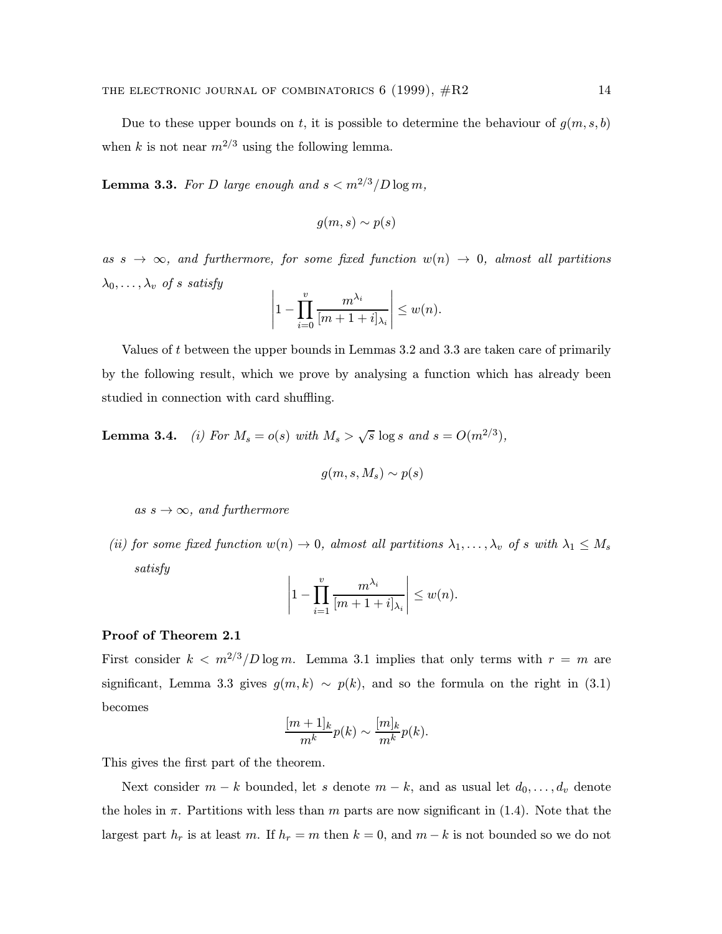Due to these upper bounds on t, it is possible to determine the behaviour of  $g(m, s, b)$ when k is not near  $m^{2/3}$  using the following lemma.

**Lemma 3.3.** For D large enough and  $s < m^{2/3}/D \log m$ ,

$$
g(m,s) \sim p(s)
$$

as  $s \to \infty$ , and furthermore, for some fixed function  $w(n) \to 0$ , almost all partitions  $\lambda_0, \ldots, \lambda_v$  of s satisfy

$$
\left|1-\prod_{i=0}^v\frac{m^{\lambda_i}}{[m+1+i]_{\lambda_i}}\right|\leq w(n).
$$

Values of t between the upper bounds in Lemmas 3.2 and 3.3 are taken care of primarily by the following result, which we prove by analysing a function which has already been studied in connection with card shuffling.

**Lemma 3.4.** (i) For  $M_s = o(s)$  with  $M_s > \sqrt{s} \log s$  and  $s = O(m^{2/3})$ ,

$$
g(m,s,M_s)\sim p(s)
$$

as  $s \to \infty$ , and furthermore

(ii) for some fixed function  $w(n) \to 0$ , almost all partitions  $\lambda_1, \ldots, \lambda_v$  of s with  $\lambda_1 \leq M_s$ satisfy

$$
\left|1 - \prod_{i=1}^v \frac{m^{\lambda_i}}{[m+1+i]_{\lambda_i}}\right| \leq w(n).
$$

# Proof of Theorem 2.1

First consider  $k < m^{2/3}/D \log m$ . Lemma 3.1 implies that only terms with  $r = m$  are significant, Lemma 3.3 gives  $g(m, k) \sim p(k)$ , and so the formula on the right in (3.1) becomes

$$
\frac{[m+1]_k}{m^k}p(k) \sim \frac{[m]_k}{m^k}p(k).
$$

This gives the first part of the theorem.

Next consider  $m - k$  bounded, let s denote  $m - k$ , and as usual let  $d_0, \ldots, d_v$  denote the holes in  $\pi$ . Partitions with less than m parts are now significant in (1.4). Note that the largest part  $h_r$  is at least m. If  $h_r = m$  then  $k = 0$ , and  $m - k$  is not bounded so we do not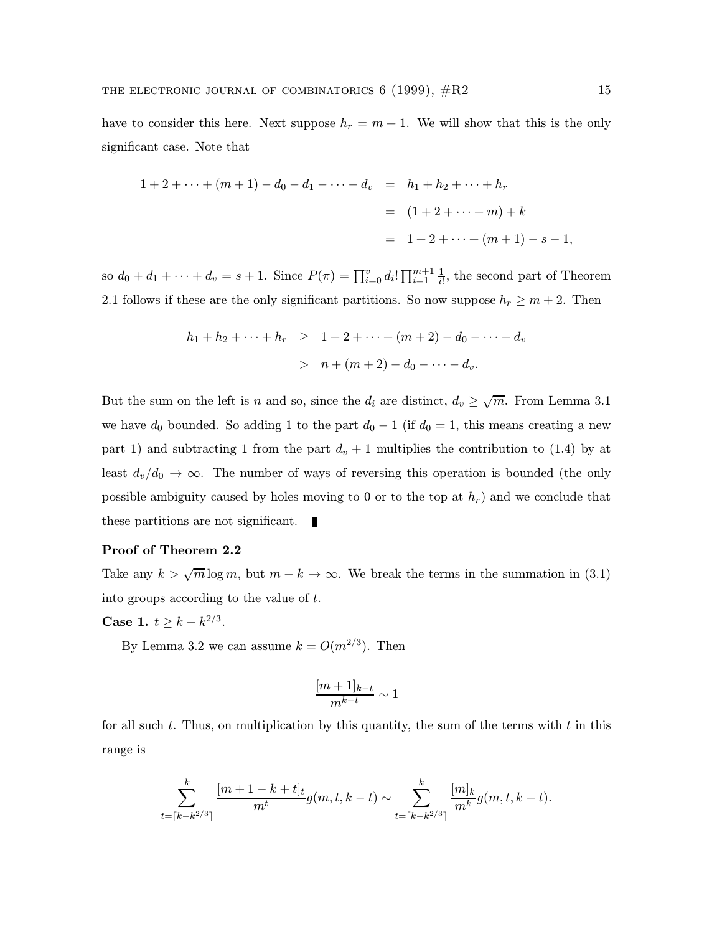have to consider this here. Next suppose  $h_r = m + 1$ . We will show that this is the only significant case. Note that

$$
1 + 2 + \dots + (m + 1) - d_0 - d_1 - \dots - d_v = h_1 + h_2 + \dots + h_r
$$
  
= 
$$
(1 + 2 + \dots + m) + k
$$
  
= 
$$
1 + 2 + \dots + (m + 1) - s - 1,
$$

so  $d_0 + d_1 + \cdots + d_v = s + 1$ . Since  $P(\pi) = \prod_{i=0}^{v} d_i! \prod_{i=1}^{m+1} \frac{1}{i!}$  $\frac{1}{i!}$ , the second part of Theorem 2.1 follows if these are the only significant partitions. So now suppose  $h_r \geq m+2$ . Then

$$
h_1 + h_2 + \dots + h_r \geq 1 + 2 + \dots + (m+2) - d_0 - \dots - d_v
$$
  
>  $n + (m+2) - d_0 - \dots - d_v.$ 

But the sum on the left is n and so, since the  $d_i$  are distinct,  $d_v \geq \sqrt{m}$ . From Lemma 3.1 we have  $d_0$  bounded. So adding 1 to the part  $d_0 - 1$  (if  $d_0 = 1$ , this means creating a new part 1) and subtracting 1 from the part  $d_v + 1$  multiplies the contribution to (1.4) by at least  $d_v/d_0 \to \infty$ . The number of ways of reversing this operation is bounded (the only possible ambiguity caused by holes moving to 0 or to the top at  $h_r$ ) and we conclude that these partitions are not significant. Г

# Proof of Theorem 2.2

Take any  $k > \sqrt{m} \log m$ , but  $m - k \to \infty$ . We break the terms in the summation in (3.1) into groups according to the value of t.

**Case 1.**  $t \geq k - k^{2/3}$ .

By Lemma 3.2 we can assume  $k = O(m^{2/3})$ . Then

$$
\frac{[m+1]_{k-t}}{m^{k-t}} \sim 1
$$

for all such  $t$ . Thus, on multiplication by this quantity, the sum of the terms with  $t$  in this range is

$$
\sum_{t=\lceil k-k^{2/3} \rceil}^k \frac{[m+1-k+t]_t}{m^t} g(m,t,k-t) \sim \sum_{t=\lceil k-k^{2/3} \rceil}^k \frac{[m]_k}{m^k} g(m,t,k-t).
$$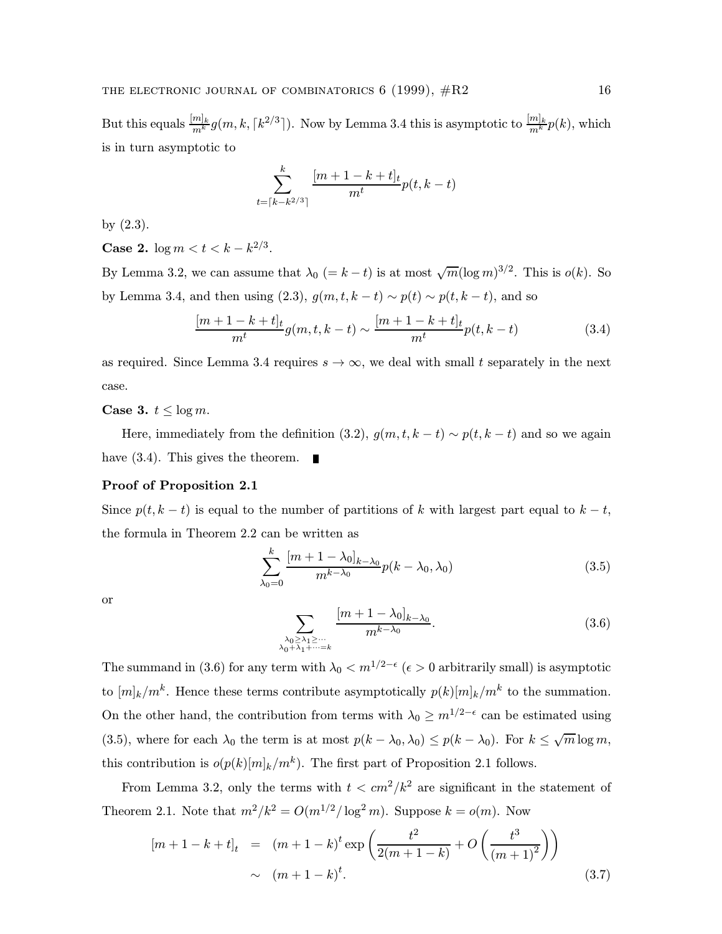But this equals  $\frac{[m]_k}{m^k} g(m, k, \lceil k^{2/3} \rceil)$ . Now by Lemma 3.4 this is asymptotic to  $\frac{[m]_k}{m^k} p(k)$ , which is in turn asymptotic to

$$
\sum_{t=\lceil k-k^{2/3} \rceil}^{k} \frac{[m+1-k+t]_t}{m^t} p(t,k-t)
$$

by (2.3).

**Case 2.**  $\log m < t < k - k^{2/3}$ .

By Lemma 3.2, we can assume that  $\lambda_0$  (= k – t) is at most  $\sqrt{m}(\log m)^{3/2}$ . This is  $o(k)$ . So by Lemma 3.4, and then using (2.3),  $g(m, t, k - t) \sim p(t) \sim p(t, k - t)$ , and so

$$
\frac{[m+1-k+t]_t}{m^t}g(m,t,k-t) \sim \frac{[m+1-k+t]_t}{m^t}p(t,k-t)
$$
\n(3.4)

as required. Since Lemma 3.4 requires  $s \to \infty$ , we deal with small t separately in the next case.

Case 3.  $t \leq \log m$ .

Here, immediately from the definition (3.2),  $g(m, t, k - t) \sim p(t, k - t)$  and so we again have  $(3.4)$ . This gives the theorem.

# Proof of Proposition 2.1

Since  $p(t, k - t)$  is equal to the number of partitions of k with largest part equal to  $k - t$ , the formula in Theorem 2.2 can be written as

$$
\sum_{\lambda_0=0}^k \frac{[m+1-\lambda_0]_{k-\lambda_0}}{m^{k-\lambda_0}} p(k-\lambda_0,\lambda_0)
$$
\n(3.5)

or

$$
\sum_{\substack{\lambda_0 \ge \lambda_1 \ge \cdots \\ \lambda_0 + \lambda_1 + \cdots = k}} \frac{[m + 1 - \lambda_0]_{k - \lambda_0}}{m^{k - \lambda_0}}.
$$
\n(3.6)

The summand in (3.6) for any term with  $\lambda_0 < m^{1/2-\epsilon}$  ( $\epsilon > 0$  arbitrarily small) is asymptotic to  $[m]_k/m^k$ . Hence these terms contribute asymptotically  $p(k)[m]_k/m^k$  to the summation. On the other hand, the contribution from terms with  $\lambda_0 \geq m^{1/2-\epsilon}$  can be estimated using (3.5), where for each  $\lambda_0$  the term is at most  $p(k - \lambda_0, \lambda_0) \leq p(k - \lambda_0)$ . For  $k \leq \sqrt{m} \log m$ , this contribution is  $o(p(k)[m]_k/m^k)$ . The first part of Proposition 2.1 follows.

From Lemma 3.2, only the terms with  $t < cm^2/k^2$  are significant in the statement of Theorem 2.1. Note that  $m^2/k^2 = O(m^{1/2}/\log^2 m)$ . Suppose  $k = o(m)$ . Now

$$
[m+1-k+t]_t = (m+1-k)^t \exp\left(\frac{t^2}{2(m+1-k)} + O\left(\frac{t^3}{(m+1)^2}\right)\right)
$$
  
  $\sim (m+1-k)^t.$  (3.7)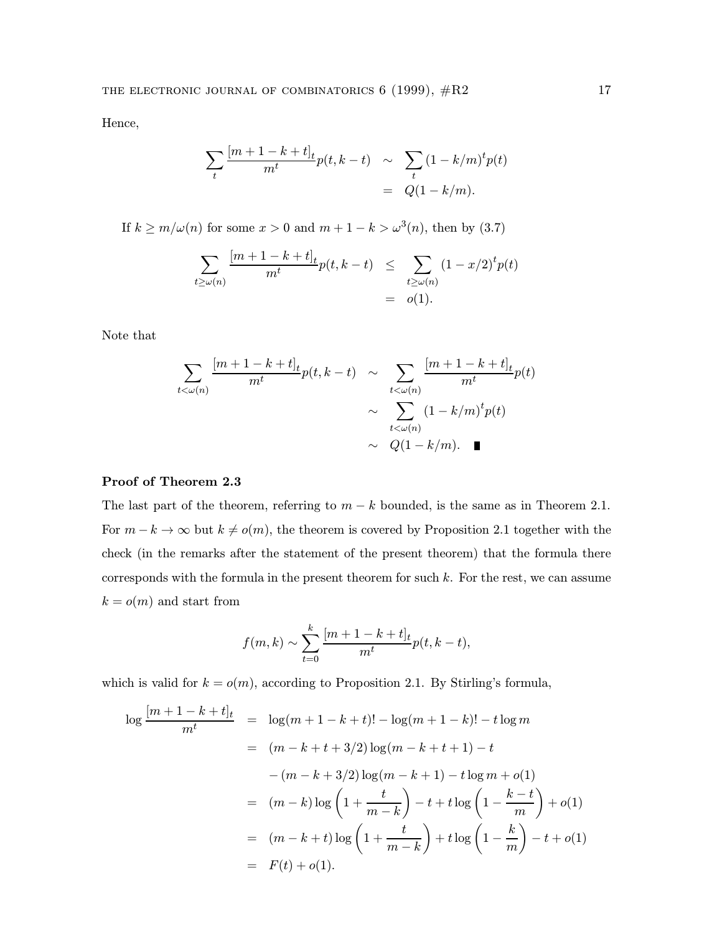Hence,

$$
\sum_{t} \frac{[m+1-k+t]_t}{m^t} p(t, k-t) \sim \sum_{t} (1 - k/m)^t p(t)
$$
  
=  $Q(1 - k/m)$ .

If  $k \ge m/\omega(n)$  for some  $x > 0$  and  $m + 1 - k > \omega^3(n)$ , then by (3.7)

$$
\sum_{t \ge \omega(n)} \frac{[m+1-k+t]_t}{m^t} p(t, k-t) \le \sum_{t \ge \omega(n)} (1-x/2)^t p(t) = o(1).
$$

Note that

$$
\sum_{t < \omega(n)} \frac{[m+1-k+t]_t}{m^t} p(t, k-t) \sim \sum_{t < \omega(n)} \frac{[m+1-k+t]_t}{m^t} p(t)
$$

$$
\sim \sum_{t < \omega(n)} (1-k/m)^t p(t)
$$

$$
\sim Q(1-k/m). \quad \blacksquare
$$

# Proof of Theorem 2.3

The last part of the theorem, referring to  $m - k$  bounded, is the same as in Theorem 2.1. For  $m - k \to \infty$  but  $k \neq o(m)$ , the theorem is covered by Proposition 2.1 together with the check (in the remarks after the statement of the present theorem) that the formula there corresponds with the formula in the present theorem for such  $k$ . For the rest, we can assume  $k = o(m)$  and start from

$$
f(m,k) \sim \sum_{t=0}^{k} \frac{[m+1-k+t]_t}{m^t} p(t, k-t),
$$

which is valid for  $k = o(m)$ , according to Proposition 2.1. By Stirling's formula,

$$
\log \frac{[m+1-k+t]_t}{m^t} = \log(m+1-k+t)! - \log(m+1-k)! - t \log m
$$
  
\n
$$
= (m-k+t+3/2) \log(m-k+t+1) - t
$$
  
\n
$$
-(m-k+3/2) \log(m-k+1) - t \log m + o(1)
$$
  
\n
$$
= (m-k) \log \left(1 + \frac{t}{m-k}\right) - t + t \log \left(1 - \frac{k-t}{m}\right) + o(1)
$$
  
\n
$$
= (m-k+t) \log \left(1 + \frac{t}{m-k}\right) + t \log \left(1 - \frac{k}{m}\right) - t + o(1)
$$
  
\n
$$
= F(t) + o(1).
$$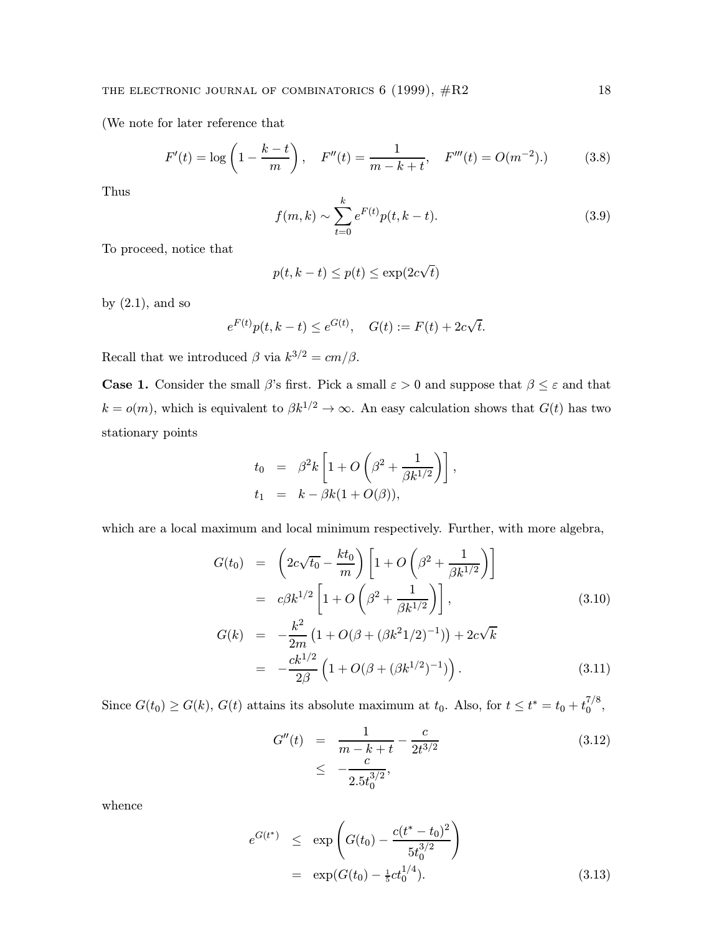(We note for later reference that

$$
F'(t) = \log\left(1 - \frac{k - t}{m}\right), \quad F''(t) = \frac{1}{m - k + t}, \quad F'''(t) = O(m^{-2}).\tag{3.8}
$$

Thus

$$
f(m,k) \sim \sum_{t=0}^{k} e^{F(t)} p(t, k-t).
$$
 (3.9)

To proceed, notice that

$$
p(t, k-t) \le p(t) \le \exp(2c\sqrt{t})
$$

by  $(2.1)$ , and so

$$
e^{F(t)}p(t, k-t) \le e^{G(t)}, \quad G(t) := F(t) + 2c\sqrt{t}.
$$

Recall that we introduced  $\beta$  via  $k^{3/2} = cm/\beta$ .

**Case 1.** Consider the small  $\beta$ 's first. Pick a small  $\varepsilon > 0$  and suppose that  $\beta \leq \varepsilon$  and that  $k = o(m)$ , which is equivalent to  $\beta k^{1/2} \to \infty$ . An easy calculation shows that  $G(t)$  has two stationary points

$$
t_0 = \beta^2 k \left[ 1 + O\left(\beta^2 + \frac{1}{\beta k^{1/2}}\right) \right],
$$
  
\n
$$
t_1 = k - \beta k (1 + O(\beta)),
$$

which are a local maximum and local minimum respectively. Further, with more algebra,

$$
G(t_0) = \left(2c\sqrt{t_0} - \frac{kt_0}{m}\right) \left[1 + O\left(\beta^2 + \frac{1}{\beta k^{1/2}}\right)\right]
$$
  
\n
$$
= c\beta k^{1/2} \left[1 + O\left(\beta^2 + \frac{1}{\beta k^{1/2}}\right)\right],
$$
  
\n
$$
G(k) = -\frac{k^2}{2m} \left(1 + O(\beta + (\beta k^2 1/2)^{-1})\right) + 2c\sqrt{k}
$$
  
\n
$$
= -\frac{ck^{1/2}}{2\beta} \left(1 + O(\beta + (\beta k^{1/2})^{-1})\right).
$$
\n(3.11)

Since  $G(t_0) \ge G(k)$ ,  $G(t)$  attains its absolute maximum at  $t_0$ . Also, for  $t \le t^* = t_0 + t_0^{7/8}$ ,

$$
G''(t) = \frac{1}{m - k + t} - \frac{c}{2t^{3/2}}
$$
  
 
$$
\leq -\frac{c}{2.5t_0^{3/2}},
$$
 (3.12)

whence

$$
e^{G(t^*)} \le \exp\left(G(t_0) - \frac{c(t^* - t_0)^2}{5t_0^{3/2}}\right)
$$
  
=  $\exp(G(t_0) - \frac{1}{5}ct_0^{1/4}).$  (3.13)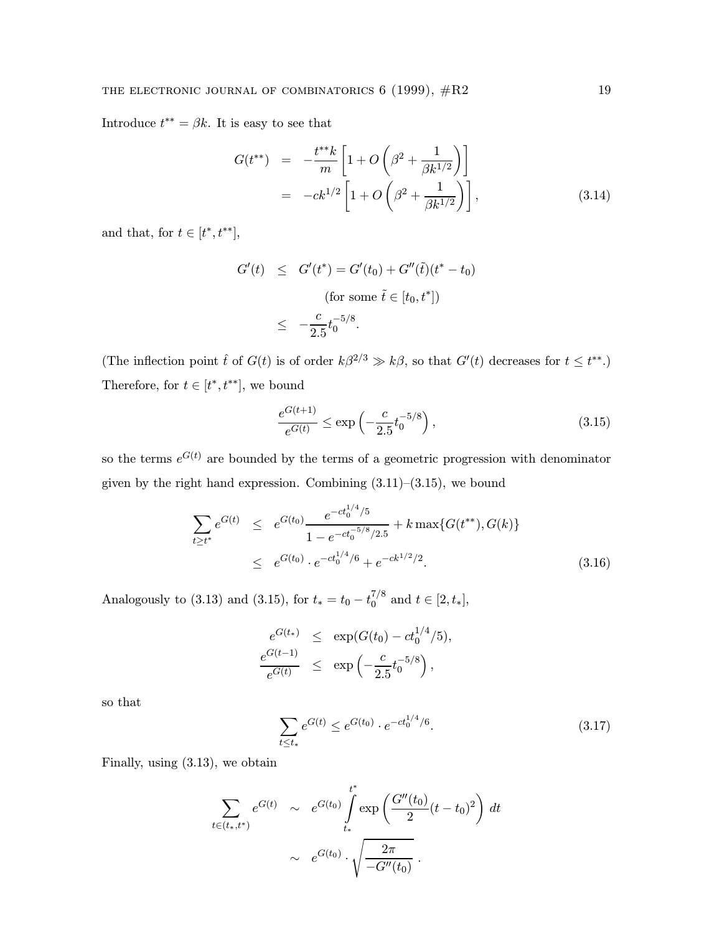Introduce  $t^{**} = \beta k$ . It is easy to see that

$$
G(t^{**}) = -\frac{t^{**}k}{m} \left[ 1 + O\left(\beta^2 + \frac{1}{\beta k^{1/2}}\right) \right]
$$
  
=  $-ck^{1/2} \left[ 1 + O\left(\beta^2 + \frac{1}{\beta k^{1/2}}\right) \right],$  (3.14)

and that, for  $t\in[t^*,t^{**}],$ 

$$
G'(t) \leq G'(t^*) = G'(t_0) + G''(\tilde{t})(t^* - t_0)
$$
  
(for some  $\tilde{t} \in [t_0, t^*])$   

$$
\leq -\frac{c}{2.5}t_0^{-5/8}.
$$

(The inflection point  $\hat{t}$  of  $G(t)$  is of order  $k\beta^{2/3} \gg k\beta$ , so that  $G'(t)$  decreases for  $t \leq t^{**}$ .) Therefore, for  $t\in[t^*,t^{**}],$  we bound

$$
\frac{e^{G(t+1)}}{e^{G(t)}} \le \exp\left(-\frac{c}{2.5}t_0^{-5/8}\right),\tag{3.15}
$$

so the terms  $e^{G(t)}$  are bounded by the terms of a geometric progression with denominator given by the right hand expression. Combining  $(3.11)$ – $(3.15)$ , we bound

$$
\sum_{t \ge t^*} e^{G(t)} \le e^{G(t_0)} \frac{e^{-ct_0^{1/4}/5}}{1 - e^{-ct_0^{-5/8}/2.5}} + k \max\{G(t^{**}), G(k)\}
$$
\n
$$
\le e^{G(t_0)} \cdot e^{-ct_0^{1/4}/6} + e^{-ck^{1/2}/2}.
$$
\n(3.16)

Analogously to (3.13) and (3.15), for  $t_* = t_0 - t_0^{7/8}$  and  $t \in [2, t_*]$ ,

$$
\frac{e^{G(t_*)}}{e^{G(t)}} \leq \exp(G(t_0) - ct_0^{1/4}/5),
$$
  

$$
\frac{e^{G(t-1)}}{e^{G(t)}} \leq \exp(-\frac{c}{2.5}t_0^{-5/8}),
$$

so that

$$
\sum_{t \le t_*} e^{G(t)} \le e^{G(t_0)} \cdot e^{-ct_0^{1/4}/6}.
$$
\n(3.17)

Finally, using (3.13), we obtain

$$
\sum_{t \in (t_*,t^*)} e^{G(t)} \sim e^{G(t_0)} \int_{t_*}^{t^*} \exp\left(\frac{G''(t_0)}{2}(t-t_0)^2\right) dt
$$

$$
\sim e^{G(t_0)} \cdot \sqrt{\frac{2\pi}{-G''(t_0)}}.
$$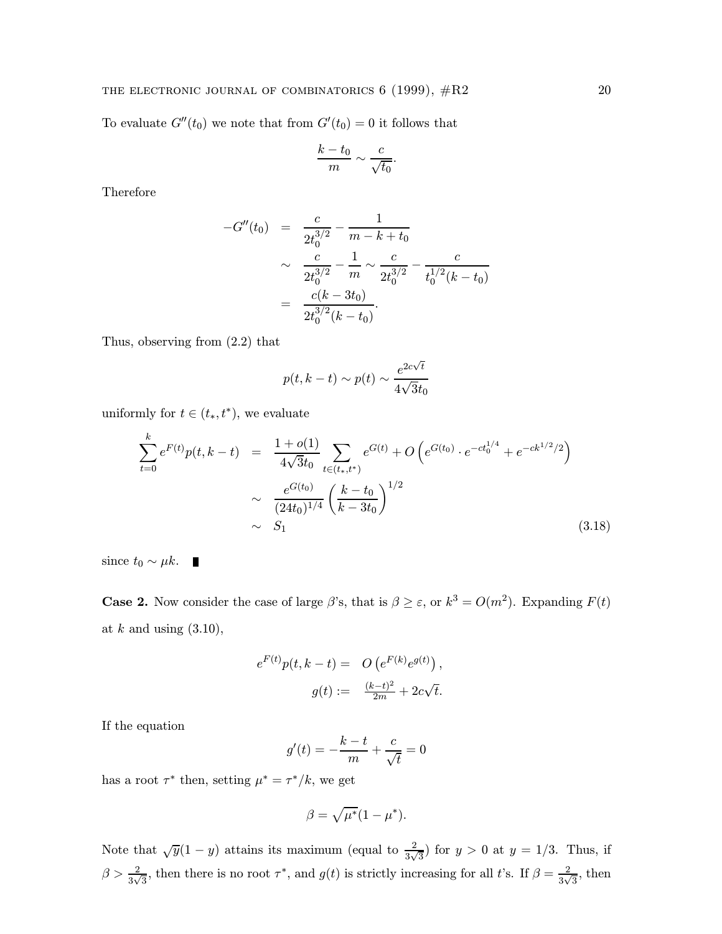To evaluate  $G''(t_0)$  we note that from  $G'(t_0) = 0$  it follows that

$$
\frac{k-t_0}{m} \sim \frac{c}{\sqrt{t_0}}.
$$

Therefore

$$
-G''(t_0) = \frac{c}{2t_0^{3/2}} - \frac{1}{m - k + t_0}
$$
  
 
$$
\sim \frac{c}{2t_0^{3/2}} - \frac{1}{m} \sim \frac{c}{2t_0^{3/2}} - \frac{c}{t_0^{1/2}(k - t_0)}
$$
  
 
$$
= \frac{c(k - 3t_0)}{2t_0^{3/2}(k - t_0)}.
$$

Thus, observing from (2.2) that

$$
p(t, k-t) \sim p(t) \sim \frac{e^{2c\sqrt{t}}}{4\sqrt{3}t_0}
$$

uniformly for  $t \in (t_*, t^*)$ , we evaluate

$$
\sum_{t=0}^{k} e^{F(t)} p(t, k-t) = \frac{1+o(1)}{4\sqrt{3}t_0} \sum_{t \in (t_*, t^*)} e^{G(t)} + O\left(e^{G(t_0)} \cdot e^{-ct_0^{1/4}} + e^{-ck^{1/2}/2}\right)
$$
  
 
$$
\sim \frac{e^{G(t_0)}}{(24t_0)^{1/4}} \left(\frac{k-t_0}{k-3t_0}\right)^{1/2}
$$
  
 
$$
\sim S_1
$$
 (3.18)

since  $t_0 \sim \mu k$ . ■

**Case 2.** Now consider the case of large  $\beta$ 's, that is  $\beta \geq \varepsilon$ , or  $k^3 = O(m^2)$ . Expanding  $F(t)$ at  $k$  and using  $(3.10)$ ,

$$
e^{F(t)}p(t, k-t) = O\left(e^{F(k)}e^{g(t)}\right),
$$

$$
g(t) := \frac{(k-t)^2}{2m} + 2c\sqrt{t}.
$$

If the equation

$$
g'(t) = -\frac{k-t}{m} + \frac{c}{\sqrt{t}} = 0
$$

has a root  $\tau^*$  then, setting  $\mu^* = \tau^*/k,$  we get

$$
\beta = \sqrt{\mu^*} (1 - \mu^*).
$$

Note that  $\sqrt{y}(1-y)$  attains its maximum (equal to  $\frac{2}{3\sqrt{3}}$ ) for  $y > 0$  at  $y = 1/3$ . Thus, if  $\beta > \frac{2}{3\sqrt{3}}$ , then there is no root  $\tau^*$ , and  $g(t)$  is strictly increasing for all t's. If  $\beta = \frac{2}{3\sqrt{3}}$ , then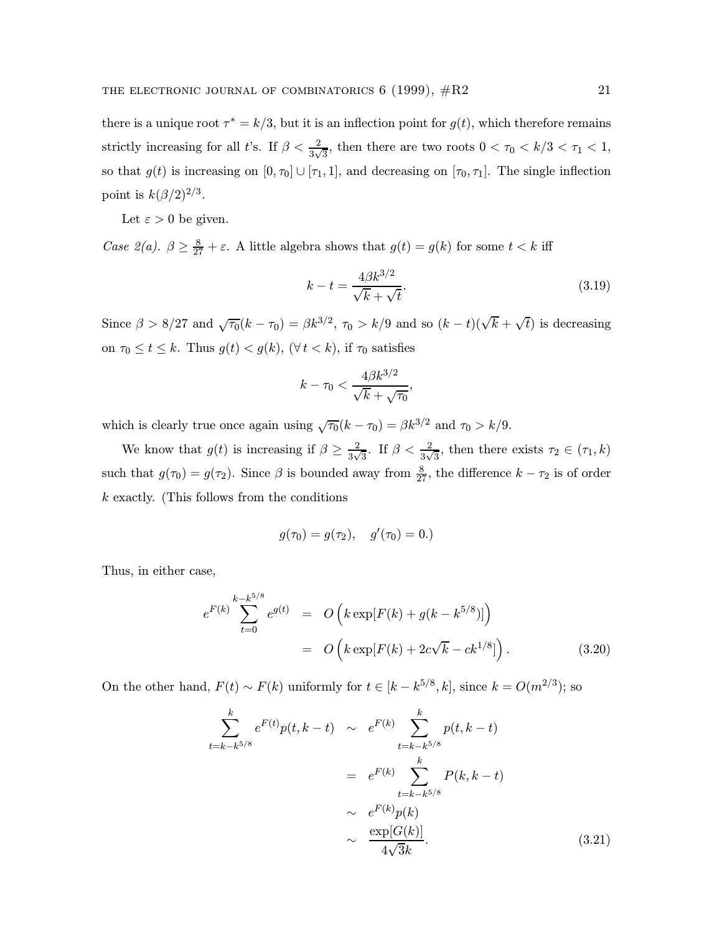there is a unique root  $\tau^* = k/3$ , but it is an inflection point for  $g(t)$ , which therefore remains strictly increasing for all t's. If  $\beta < \frac{2}{3\sqrt{3}}$ , then there are two roots  $0 < \tau_0 < k/3 < \tau_1 < 1$ , so that  $g(t)$  is increasing on  $[0, \tau_0] \cup [\tau_1, 1]$ , and decreasing on  $[\tau_0, \tau_1]$ . The single inflection point is  $k(\beta/2)^{2/3}$ .

Let  $\varepsilon > 0$  be given.

Case 2(a).  $\beta \ge \frac{8}{27} + \varepsilon$ . A little algebra shows that  $g(t) = g(k)$  for some  $t < k$  iff

$$
k - t = \frac{4\beta k^{3/2}}{\sqrt{k} + \sqrt{t}}.\tag{3.19}
$$

Since  $\beta > 8/27$  and  $\sqrt{\tau_0}(k-\tau_0) = \beta k^{3/2}$ ,  $\tau_0 > k/9$  and so  $(k-t)(\sqrt{k} + \sqrt{t})$  is decreasing on  $\tau_0 \le t \le k$ . Thus  $g(t) < g(k)$ ,  $(\forall t < k)$ , if  $\tau_0$  satisfies

$$
k - \tau_0 < \frac{4\beta k^{3/2}}{\sqrt{k} + \sqrt{\tau_0}},
$$

which is clearly true once again using  $\sqrt{\tau_0}(k - \tau_0) = \beta k^{3/2}$  and  $\tau_0 > k/9$ .

We know that  $g(t)$  is increasing if  $\beta \geq \frac{2}{3\sqrt{3}}$ . If  $\beta < \frac{2}{3\sqrt{3}}$ , then there exists  $\tau_2 \in (\tau_1, k)$ such that  $g(\tau_0) = g(\tau_2)$ . Since  $\beta$  is bounded away from  $\frac{8}{27}$ , the difference  $k - \tau_2$  is of order k exactly. (This follows from the conditions

$$
g(\tau_0) = g(\tau_2), \quad g'(\tau_0) = 0.
$$

Thus, in either case,

$$
e^{F(k)} \sum_{t=0}^{k-k^{5/8}} e^{g(t)} = O\left(k \exp[F(k) + g(k - k^{5/8})]\right)
$$
  
=  $O\left(k \exp[F(k) + 2c\sqrt{k} - ck^{1/8}]\right).$  (3.20)

On the other hand,  $F(t) \sim F(k)$  uniformly for  $t \in [k - k^{5/8}, k]$ , since  $k = O(m^{2/3})$ ; so

$$
\sum_{t=k-k^{5/8}}^{k} e^{F(t)} p(t, k-t) \sim e^{F(k)} \sum_{t=k-k^{5/8}}^{k} p(t, k-t)
$$
\n
$$
= e^{F(k)} \sum_{t=k-k^{5/8}}^{k} P(k, k-t)
$$
\n
$$
\sim e^{F(k)} p(k)
$$
\n
$$
\sim \frac{e^{F(k)} p(k)}{4\sqrt{3}k}.
$$
\n(3.21)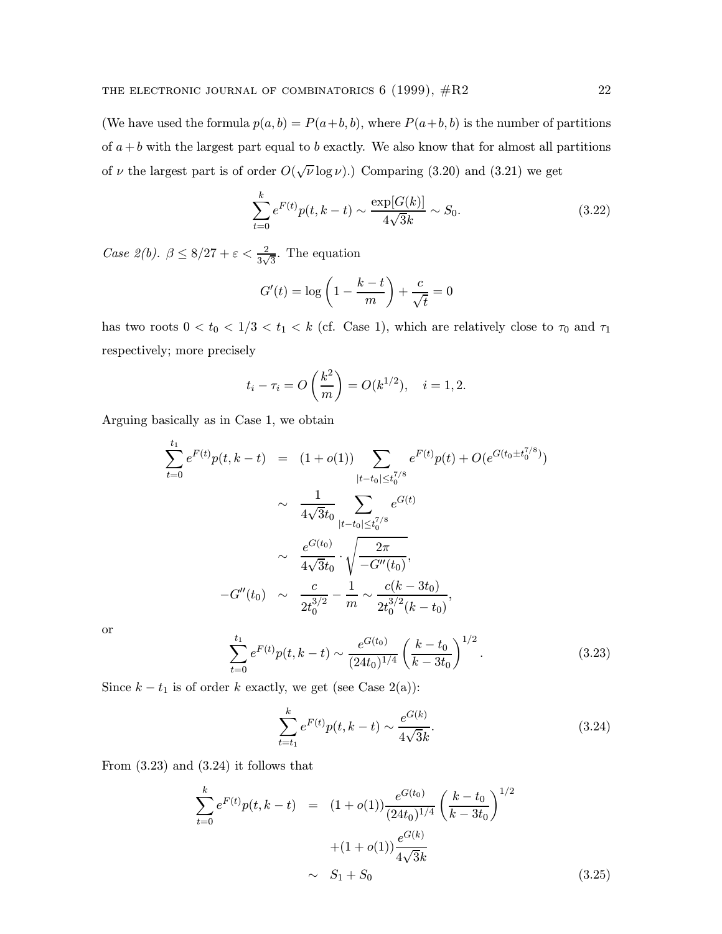(We have used the formula  $p(a, b) = P(a+b, b)$ , where  $P(a+b, b)$  is the number of partitions of  $a + b$  with the largest part equal to b exactly. We also know that for almost all partitions of  $\nu$  the largest part is of order  $O(\sqrt{\nu} \log \nu)$ . Comparing (3.20) and (3.21) we get

$$
\sum_{t=0}^{k} e^{F(t)} p(t, k-t) \sim \frac{\exp[G(k)]}{4\sqrt{3}k} \sim S_0.
$$
\n(3.22)

Case 2(b).  $\beta \leq 8/27 + \varepsilon < \frac{2}{3\sqrt{3}}$ . The equation

$$
G'(t) = \log\left(1 - \frac{k - t}{m}\right) + \frac{c}{\sqrt{t}} = 0
$$

has two roots  $0 < t_0 < 1/3 < t_1 < k$  (cf. Case 1), which are relatively close to  $\tau_0$  and  $\tau_1$ respectively; more precisely

$$
t_i - \tau_i = O\left(\frac{k^2}{m}\right) = O(k^{1/2}), \quad i = 1, 2.
$$

Arguing basically as in Case 1, we obtain

$$
\sum_{t=0}^{t_1} e^{F(t)} p(t, k-t) = (1+o(1)) \sum_{|t-t_0| \le t_0^{7/8}} e^{F(t)} p(t) + O(e^{G(t_0 \pm t_0^{7/8})})
$$
\n
$$
\sim \frac{1}{4\sqrt{3}t_0} \sum_{|t-t_0| \le t_0^{7/8}} e^{G(t)}
$$
\n
$$
\sim \frac{e^{G(t_0)}}{4\sqrt{3}t_0} \cdot \sqrt{\frac{2\pi}{-G''(t_0)}},
$$
\n
$$
-G''(t_0) \sim \frac{c}{2t_0^{3/2}} - \frac{1}{m} \sim \frac{c(k-3t_0)}{2t_0^{3/2}(k-t_0)},
$$

or

$$
\sum_{t=0}^{t_1} e^{F(t)} p(t, k-t) \sim \frac{e^{G(t_0)}}{(24t_0)^{1/4}} \left(\frac{k-t_0}{k-3t_0}\right)^{1/2}.
$$
 (3.23)

Since  $k - t_1$  is of order k exactly, we get (see Case 2(a)):

$$
\sum_{t=t_1}^{k} e^{F(t)} p(t, k-t) \sim \frac{e^{G(k)}}{4\sqrt{3}k}.
$$
\n(3.24)

From  $(3.23)$  and  $(3.24)$  it follows that

$$
\sum_{t=0}^{k} e^{F(t)} p(t, k-t) = (1+o(1)) \frac{e^{G(t_0)}}{(24t_0)^{1/4}} \left(\frac{k-t_0}{k-3t_0}\right)^{1/2} + (1+o(1)) \frac{e^{G(k)}}{4\sqrt{3}k} \sim S_1 + S_0 \tag{3.25}
$$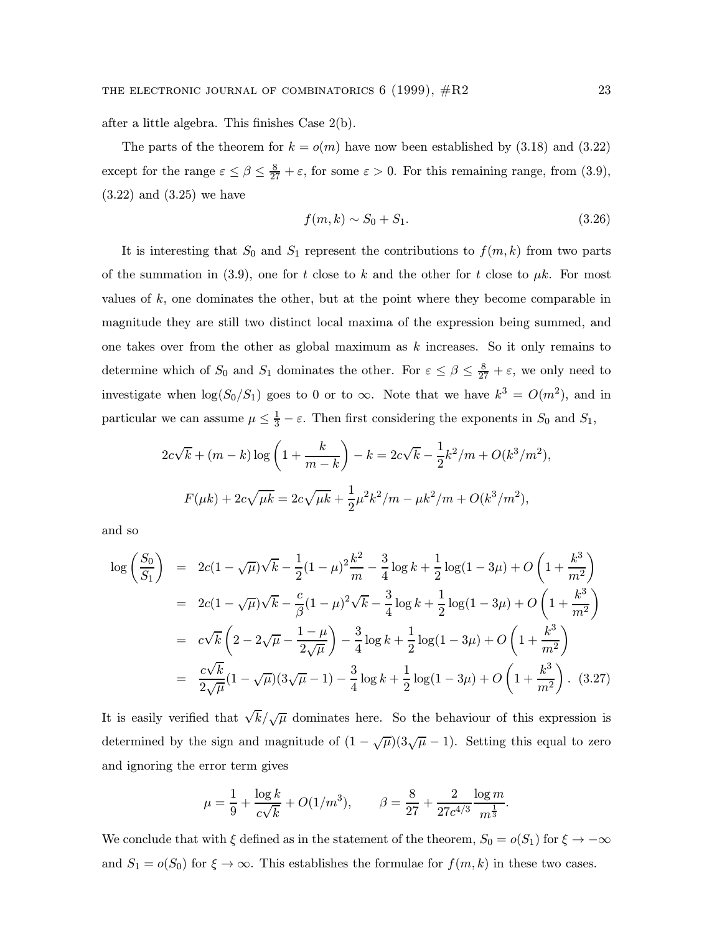after a little algebra. This finishes Case 2(b).

The parts of the theorem for  $k = o(m)$  have now been established by (3.18) and (3.22) except for the range  $\varepsilon \leq \beta \leq \frac{8}{27} + \varepsilon$ , for some  $\varepsilon > 0$ . For this remaining range, from (3.9), (3.22) and (3.25) we have

$$
f(m,k) \sim S_0 + S_1. \tag{3.26}
$$

It is interesting that  $S_0$  and  $S_1$  represent the contributions to  $f(m, k)$  from two parts of the summation in (3.9), one for t close to k and the other for t close to  $\mu k$ . For most values of k, one dominates the other, but at the point where they become comparable in magnitude they are still two distinct local maxima of the expression being summed, and one takes over from the other as global maximum as  $k$  increases. So it only remains to determine which of  $S_0$  and  $S_1$  dominates the other. For  $\varepsilon \leq \beta \leq \frac{8}{27} + \varepsilon$ , we only need to investigate when  $\log(S_0/S_1)$  goes to 0 or to  $\infty$ . Note that we have  $k^3 = O(m^2)$ , and in particular we can assume  $\mu \leq \frac{1}{3} - \varepsilon$ . Then first considering the exponents in  $S_0$  and  $S_1$ ,

$$
2c\sqrt{k} + (m - k)\log\left(1 + \frac{k}{m - k}\right) - k = 2c\sqrt{k} - \frac{1}{2}k^2/m + O(k^3/m^2),
$$
  

$$
F(\mu k) + 2c\sqrt{\mu k} = 2c\sqrt{\mu k} + \frac{1}{2}\mu^2 k^2/m - \mu k^2/m + O(k^3/m^2),
$$

and so

$$
\log\left(\frac{S_0}{S_1}\right) = 2c(1-\sqrt{\mu})\sqrt{k} - \frac{1}{2}(1-\mu)^2\frac{k^2}{m} - \frac{3}{4}\log k + \frac{1}{2}\log(1-3\mu) + O\left(1+\frac{k^3}{m^2}\right)
$$
  
\n
$$
= 2c(1-\sqrt{\mu})\sqrt{k} - \frac{c}{\beta}(1-\mu)^2\sqrt{k} - \frac{3}{4}\log k + \frac{1}{2}\log(1-3\mu) + O\left(1+\frac{k^3}{m^2}\right)
$$
  
\n
$$
= c\sqrt{k}\left(2-2\sqrt{\mu}-\frac{1-\mu}{2\sqrt{\mu}}\right) - \frac{3}{4}\log k + \frac{1}{2}\log(1-3\mu) + O\left(1+\frac{k^3}{m^2}\right)
$$
  
\n
$$
= \frac{c\sqrt{k}}{2\sqrt{\mu}}(1-\sqrt{\mu})(3\sqrt{\mu}-1) - \frac{3}{4}\log k + \frac{1}{2}\log(1-3\mu) + O\left(1+\frac{k^3}{m^2}\right). \quad (3.27)
$$

It is easily verified that  $\sqrt{k}/\sqrt{\mu}$  dominates here. So the behaviour of this expression is determined by the sign and magnitude of  $(1 - \sqrt{\mu})(3\sqrt{\mu} - 1)$ . Setting this equal to zero and ignoring the error term gives

$$
\mu = \frac{1}{9} + \frac{\log k}{c\sqrt{k}} + O(1/m^3), \qquad \beta = \frac{8}{27} + \frac{2}{27c^{4/3}} \frac{\log m}{m^{\frac{1}{3}}}.
$$

We conclude that with  $\xi$  defined as in the statement of the theorem,  $S_0 = o(S_1)$  for  $\xi \to -\infty$ and  $S_1 = o(S_0)$  for  $\xi \to \infty$ . This establishes the formulae for  $f(m, k)$  in these two cases.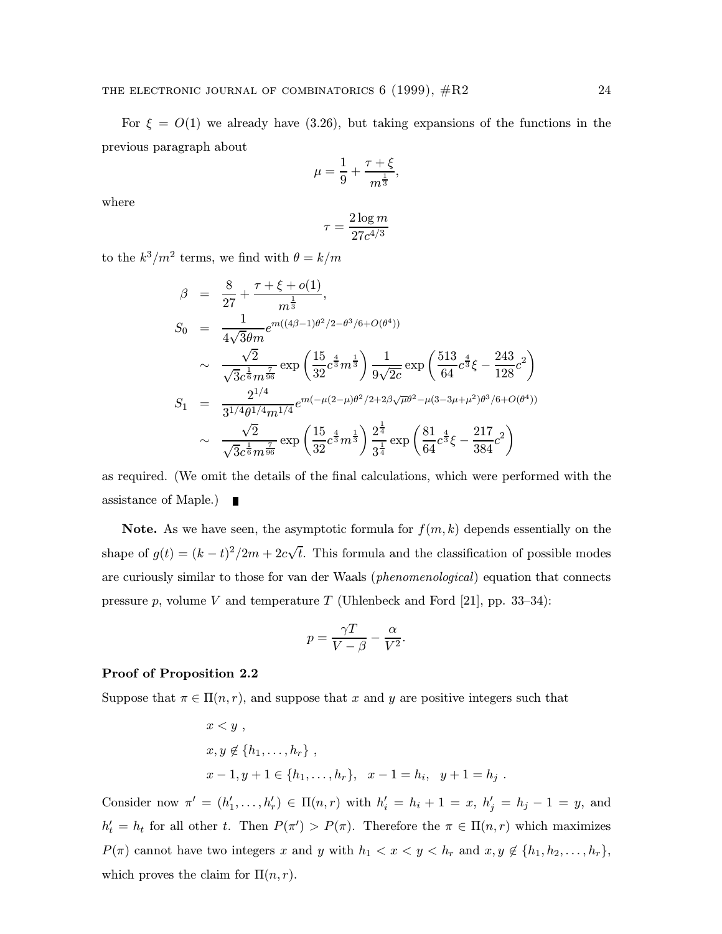For  $\xi = O(1)$  we already have (3.26), but taking expansions of the functions in the previous paragraph about

$$
\mu = \frac{1}{9} + \frac{\tau + \xi}{m^{\frac{1}{3}}},
$$

where

$$
\tau = \frac{2\log m}{27c^{4/3}}
$$

to the  $k^3/m^2$  terms, we find with  $\theta = k/m$ 

$$
\beta = \frac{8}{27} + \frac{\tau + \xi + o(1)}{m^{\frac{1}{3}}},
$$
\n
$$
S_0 = \frac{1}{4\sqrt{3}\theta m} e^{m((4\beta - 1)\theta^2/2 - \theta^3/6 + O(\theta^4))}
$$
\n
$$
\sim \frac{\sqrt{2}}{\sqrt{3}c^{\frac{1}{6}}m^{\frac{7}{96}}} \exp\left(\frac{15}{32}c^{\frac{4}{3}}m^{\frac{1}{3}}\right) \frac{1}{9\sqrt{2c}} \exp\left(\frac{513}{64}c^{\frac{4}{3}}\xi - \frac{243}{128}c^2\right)
$$
\n
$$
S_1 = \frac{2^{1/4}}{3^{1/4}\theta^{1/4}m^{1/4}} e^{m(-\mu(2-\mu)\theta^2/2 + 2\beta\sqrt{\mu}\theta^2 - \mu(3-3\mu+\mu^2)\theta^3/6 + O(\theta^4))}
$$
\n
$$
\sim \frac{\sqrt{2}}{\sqrt{3}c^{\frac{1}{6}}m^{\frac{7}{96}}} \exp\left(\frac{15}{32}c^{\frac{4}{3}}m^{\frac{1}{3}}\right) \frac{2^{\frac{1}{4}}}{3^{\frac{1}{4}}} \exp\left(\frac{81}{64}c^{\frac{4}{3}}\xi - \frac{217}{384}c^2\right)
$$

as required. (We omit the details of the final calculations, which were performed with the assistance of Maple.)

**Note.** As we have seen, the asymptotic formula for  $f(m, k)$  depends essentially on the shape of  $g(t) = (k - t)^2/2m + 2c\sqrt{t}$ . This formula and the classification of possible modes are curiously similar to those for van der Waals (phenomenological) equation that connects pressure p, volume V and temperature T (Uhlenbeck and Ford [21], pp. 33–34):

$$
p = \frac{\gamma T}{V - \beta} - \frac{\alpha}{V^2}.
$$

# Proof of Proposition 2.2

Suppose that  $\pi \in \Pi(n,r)$ , and suppose that x and y are positive integers such that

$$
x < y
$$
,  
\n $x, y \notin \{h_1, ..., h_r\}$ ,  
\n $x - 1, y + 1 \in \{h_1, ..., h_r\}$ ,  $x - 1 = h_i$ ,  $y + 1 = h_j$ .

Consider now  $\pi' = (h'_1, \ldots, h'_r) \in \Pi(n,r)$  with  $h'_i = h_i + 1 = x, h'_j = h_j - 1 = y$ , and  $h'_t = h_t$  for all other t. Then  $P(\pi') > P(\pi)$ . Therefore the  $\pi \in \Pi(n,r)$  which maximizes  $P(\pi)$  cannot have two integers x and y with  $h_1 < x < y < h_r$  and  $x, y \notin \{h_1, h_2, \ldots, h_r\}$ , which proves the claim for  $\Pi(n,r)$ .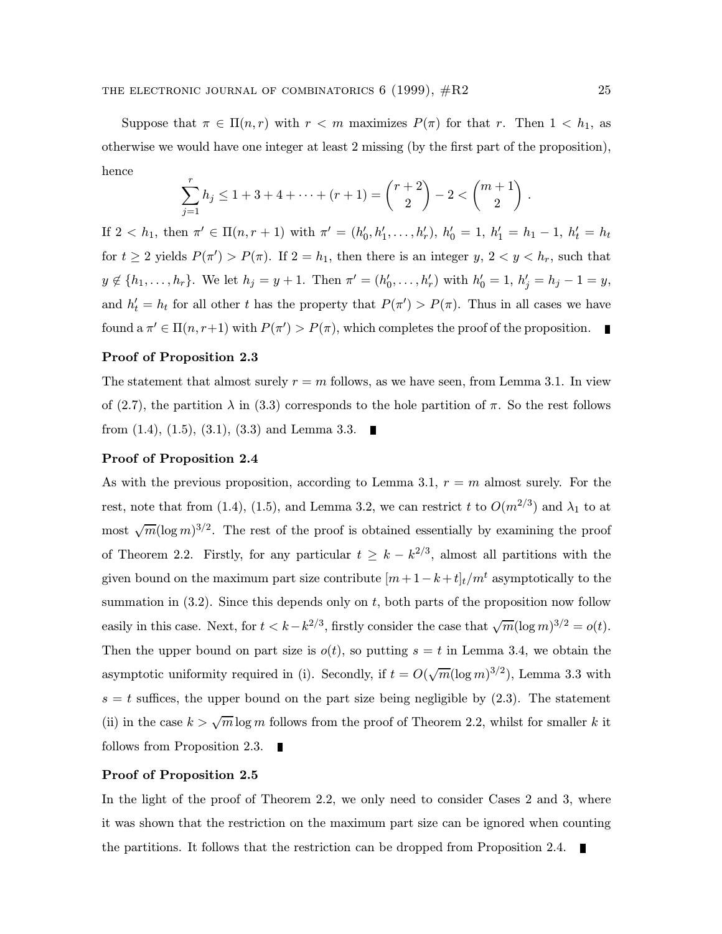Suppose that  $\pi \in \Pi(n,r)$  with  $r < m$  maximizes  $P(\pi)$  for that r. Then  $1 < h_1$ , as otherwise we would have one integer at least 2 missing (by the first part of the proposition), hence

$$
\sum_{j=1}^{r} h_j \le 1 + 3 + 4 + \dots + (r+1) = \binom{r+2}{2} - 2 < \binom{m+1}{2} \; .
$$

If  $2 < h_1$ , then  $\pi' \in \Pi(n, r + 1)$  with  $\pi' = (h'_0, h'_1, \ldots, h'_r)$ ,  $h'_0 = 1$ ,  $h'_1 = h_1 - 1$ ,  $h'_t = h_t$ for  $t \geq 2$  yields  $P(\pi') > P(\pi)$ . If  $2 = h_1$ , then there is an integer  $y, 2 < y < h_r$ , such that  $y \notin \{h_1, \ldots, h_r\}$ . We let  $h_j = y + 1$ . Then  $\pi' = (h'_0, \ldots, h'_r)$  with  $h'_0 = 1, h'_j = h_j - 1 = y$ , and  $h'_t = h_t$  for all other t has the property that  $P(\pi') > P(\pi)$ . Thus in all cases we have found a  $\pi' \in \Pi(n, r+1)$  with  $P(\pi') > P(\pi)$ , which completes the proof of the proposition.

## Proof of Proposition 2.3

The statement that almost surely  $r = m$  follows, as we have seen, from Lemma 3.1. In view of (2.7), the partition  $\lambda$  in (3.3) corresponds to the hole partition of  $\pi$ . So the rest follows from  $(1.4)$ ,  $(1.5)$ ,  $(3.1)$ ,  $(3.3)$  and Lemma 3.3.

#### Proof of Proposition 2.4

As with the previous proposition, according to Lemma 3.1,  $r = m$  almost surely. For the rest, note that from (1.4), (1.5), and Lemma 3.2, we can restrict t to  $O(m^{2/3})$  and  $\lambda_1$  to at most  $\sqrt{m}(\log m)^{3/2}$ . The rest of the proof is obtained essentially by examining the proof of Theorem 2.2. Firstly, for any particular  $t \geq k - k^{2/3}$ , almost all partitions with the given bound on the maximum part size contribute  $[m+1-k+t]_t/m^t$  asymptotically to the summation in  $(3.2)$ . Since this depends only on t, both parts of the proposition now follow easily in this case. Next, for  $t < k-k^{2/3}$ , firstly consider the case that  $\sqrt{m}(\log m)^{3/2} = o(t)$ . Then the upper bound on part size is  $o(t)$ , so putting  $s = t$  in Lemma 3.4, we obtain the asymptotic uniformity required in (i). Secondly, if  $t = O(\sqrt{m}(\log m)^{3/2})$ , Lemma 3.3 with  $s = t$  suffices, the upper bound on the part size being negligible by  $(2.3)$ . The statement (ii) in the case  $k > \sqrt{m} \log m$  follows from the proof of Theorem 2.2, whilst for smaller k it follows from Proposition 2.3.

### Proof of Proposition 2.5

In the light of the proof of Theorem 2.2, we only need to consider Cases 2 and 3, where it was shown that the restriction on the maximum part size can be ignored when counting the partitions. It follows that the restriction can be dropped from Proposition 2.4.  $\blacksquare$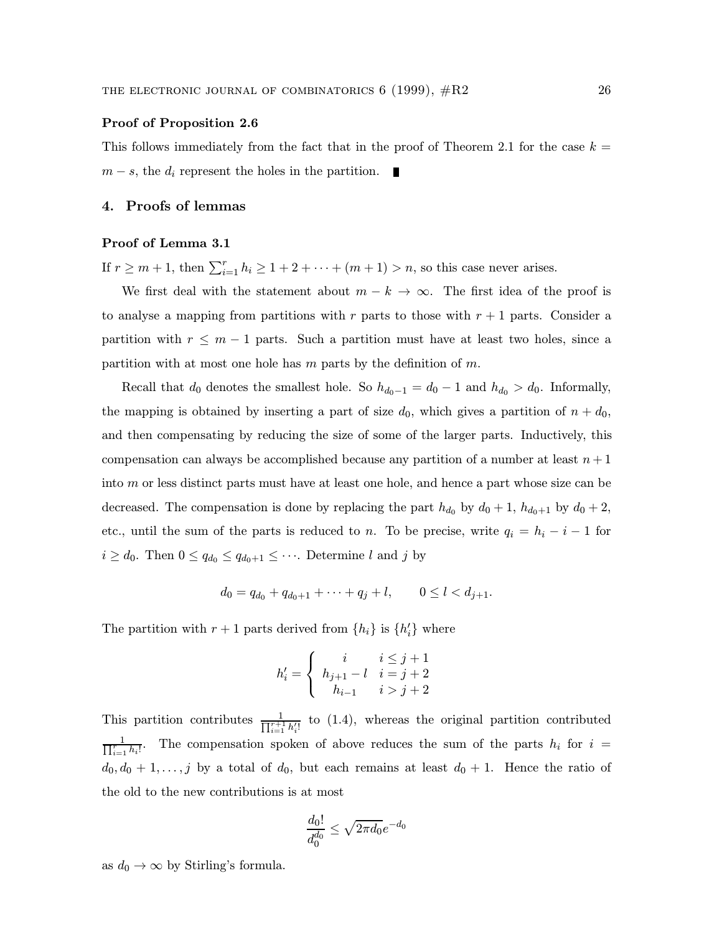#### Proof of Proposition 2.6

This follows immediately from the fact that in the proof of Theorem 2.1 for the case  $k =$  $m - s$ , the  $d_i$  represent the holes in the partition.

# 4. Proofs of lemmas

#### Proof of Lemma 3.1

If  $r \ge m+1$ , then  $\sum_{i=1}^r h_i \ge 1+2+\cdots+(m+1) > n$ , so this case never arises.

We first deal with the statement about  $m - k \to \infty$ . The first idea of the proof is to analyse a mapping from partitions with r parts to those with  $r + 1$  parts. Consider a partition with  $r \leq m-1$  parts. Such a partition must have at least two holes, since a partition with at most one hole has  $m$  parts by the definition of  $m$ .

Recall that  $d_0$  denotes the smallest hole. So  $h_{d_0-1} = d_0 - 1$  and  $h_{d_0} > d_0$ . Informally, the mapping is obtained by inserting a part of size  $d_0$ , which gives a partition of  $n + d_0$ , and then compensating by reducing the size of some of the larger parts. Inductively, this compensation can always be accomplished because any partition of a number at least  $n+1$ into m or less distinct parts must have at least one hole, and hence a part whose size can be decreased. The compensation is done by replacing the part  $h_{d_0}$  by  $d_0 + 1$ ,  $h_{d_0+1}$  by  $d_0 + 2$ , etc., until the sum of the parts is reduced to n. To be precise, write  $q_i = h_i - i - 1$  for  $i \geq d_0$ . Then  $0 \leq q_{d_0} \leq q_{d_0+1} \leq \cdots$ . Determine l and j by

$$
d_0 = q_{d_0} + q_{d_0+1} + \dots + q_j + l, \qquad 0 \le l < d_{j+1}.
$$

The partition with  $r + 1$  parts derived from  $\{h_i\}$  is  $\{h'_i\}$  where

$$
h'_i = \begin{cases} i & i \leq j+1 \\ h_{j+1}-l & i = j+2 \\ h_{i-1} & i > j+2 \end{cases}
$$

This partition contributes  $\frac{1}{\prod_{i=1}^{r+1} h_i'}$  to (1.4), whereas the original partition contributed  $\frac{1}{\prod_{i=1}^{r} h_i!}$ . The compensation spoken of above reduces the sum of the parts  $h_i$  for  $i =$  $d_0, d_0 + 1, \ldots, j$  by a total of  $d_0$ , but each remains at least  $d_0 + 1$ . Hence the ratio of the old to the new contributions is at most

$$
\frac{d_0!}{d_0^{d_0}} \leq \sqrt{2\pi d_0} e^{-d_0}
$$

as  $d_0 \to \infty$  by Stirling's formula.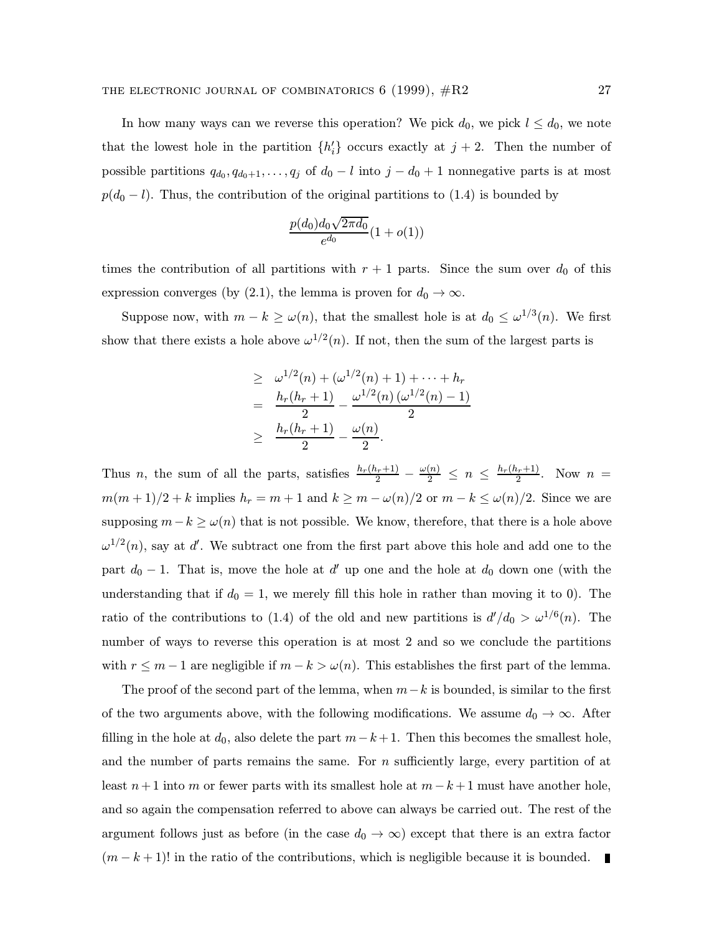In how many ways can we reverse this operation? We pick  $d_0$ , we pick  $l \leq d_0$ , we note that the lowest hole in the partition  $\{h_i'\}$  occurs exactly at  $j+2$ . Then the number of possible partitions  $q_{d_0}, q_{d_0+1}, \ldots, q_j$  of  $d_0 - l$  into  $j - d_0 + 1$  nonnegative parts is at most  $p(d_0 - l)$ . Thus, the contribution of the original partitions to (1.4) is bounded by

$$
\frac{p(d_0)d_0\sqrt{2\pi d_0}}{e^{d_0}}(1+o(1))
$$

times the contribution of all partitions with  $r + 1$  parts. Since the sum over  $d_0$  of this expression converges (by (2.1), the lemma is proven for  $d_0 \to \infty$ .

Suppose now, with  $m - k \ge \omega(n)$ , that the smallest hole is at  $d_0 \le \omega^{1/3}(n)$ . We first show that there exists a hole above  $\omega^{1/2}(n)$ . If not, then the sum of the largest parts is

$$
\geq \omega^{1/2}(n) + (\omega^{1/2}(n) + 1) + \cdots + h_r
$$
  
= 
$$
\frac{h_r(h_r + 1)}{2} - \frac{\omega^{1/2}(n) (\omega^{1/2}(n) - 1)}{2}
$$
  

$$
\geq \frac{h_r(h_r + 1)}{2} - \frac{\omega(n)}{2}.
$$

Thus n, the sum of all the parts, satisfies  $\frac{h_r(h_r+1)}{2} - \frac{\omega(n)}{2} \le n \le \frac{h_r(h_r+1)}{2}$ . Now  $n =$  $m(m+1)/2 + k$  implies  $h_r = m+1$  and  $k \ge m - \omega(n)/2$  or  $m-k \le \omega(n)/2$ . Since we are supposing  $m-k \geq \omega(n)$  that is not possible. We know, therefore, that there is a hole above  $\omega^{1/2}(n)$ , say at d'. We subtract one from the first part above this hole and add one to the part  $d_0 - 1$ . That is, move the hole at d' up one and the hole at  $d_0$  down one (with the understanding that if  $d_0 = 1$ , we merely fill this hole in rather than moving it to 0). The ratio of the contributions to (1.4) of the old and new partitions is  $d'/d_0 > \omega^{1/6}(n)$ . The number of ways to reverse this operation is at most 2 and so we conclude the partitions with  $r \leq m-1$  are negligible if  $m-k > \omega(n)$ . This establishes the first part of the lemma.

The proof of the second part of the lemma, when  $m-k$  is bounded, is similar to the first of the two arguments above, with the following modifications. We assume  $d_0 \to \infty$ . After filling in the hole at  $d_0$ , also delete the part  $m-k+1$ . Then this becomes the smallest hole, and the number of parts remains the same. For  $n$  sufficiently large, every partition of at least  $n+1$  into m or fewer parts with its smallest hole at  $m-k+1$  must have another hole, and so again the compensation referred to above can always be carried out. The rest of the argument follows just as before (in the case  $d_0 \to \infty$ ) except that there is an extra factor  $(m - k + 1)!$  in the ratio of the contributions, which is negligible because it is bounded.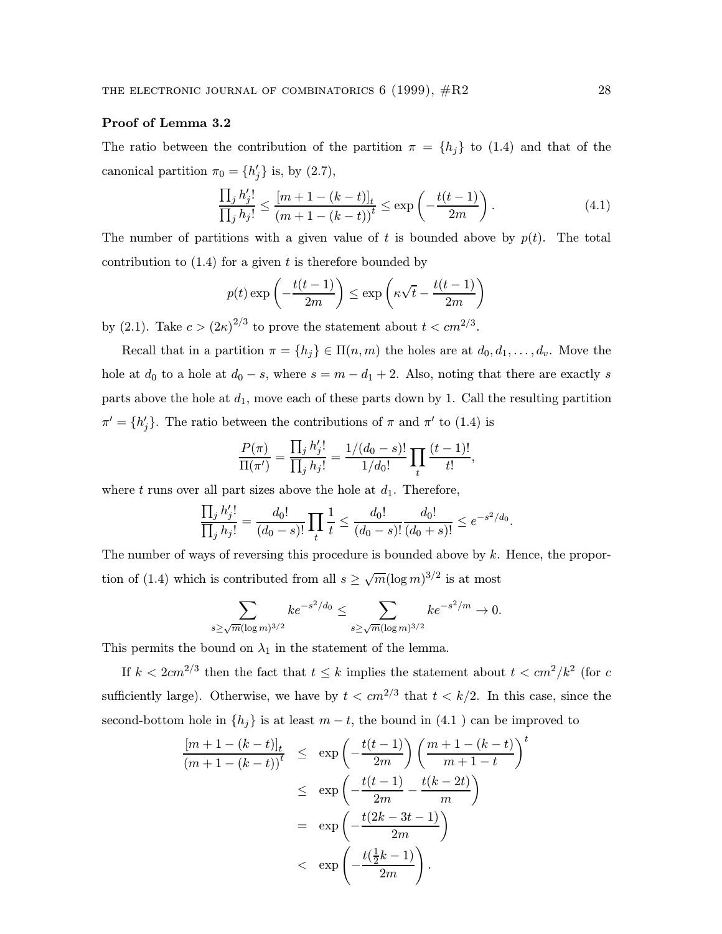# Proof of Lemma 3.2

The ratio between the contribution of the partition  $\pi = \{h_j\}$  to (1.4) and that of the canonical partition  $\pi_0 = \{h'_j\}$  is, by (2.7),

$$
\frac{\prod_{j} h'_{j}!}{\prod_{j} h_{j}!} \le \frac{[m+1-(k-t)]_{t}}{(m+1-(k-t))^{t}} \le \exp\left(-\frac{t(t-1)}{2m}\right).
$$
\n(4.1)

The number of partitions with a given value of t is bounded above by  $p(t)$ . The total contribution to  $(1.4)$  for a given t is therefore bounded by

$$
p(t) \exp\left(-\frac{t(t-1)}{2m}\right) \le \exp\left(\kappa\sqrt{t} - \frac{t(t-1)}{2m}\right)
$$

by (2.1). Take  $c > (2\kappa)^{2/3}$  to prove the statement about  $t < cm^{2/3}$ .

Recall that in a partition  $\pi = \{h_j\} \in \Pi(n,m)$  the holes are at  $d_0, d_1, \ldots, d_v$ . Move the hole at  $d_0$  to a hole at  $d_0 - s$ , where  $s = m - d_1 + 2$ . Also, noting that there are exactly s parts above the hole at  $d_1$ , move each of these parts down by 1. Call the resulting partition  $\pi' = \{h'_j\}.$  The ratio between the contributions of  $\pi$  and  $\pi'$  to (1.4) is

$$
\frac{P(\pi)}{\Pi(\pi')} = \frac{\prod_j h'_j!}{\prod_j h_j!} = \frac{1/(d_0 - s)!}{1/d_0!} \prod_t \frac{(t-1)!}{t!},
$$

where t runs over all part sizes above the hole at  $d_1$ . Therefore,

$$
\frac{\prod_j h'_j!}{\prod_j h_j!} = \frac{d_0!}{(d_0-s)!} \prod_t \frac{1}{t} \le \frac{d_0!}{(d_0-s)!} \frac{d_0!}{(d_0+s)!} \le e^{-s^2/d_0}.
$$

The number of ways of reversing this procedure is bounded above by  $k$ . Hence, the proportion of (1.4) which is contributed from all  $s \geq \sqrt{m}(\log m)^{3/2}$  is at most

$$
\sum_{s \ge \sqrt{m}(\log m)^{3/2}} k e^{-s^2/d_0} \le \sum_{s \ge \sqrt{m}(\log m)^{3/2}} k e^{-s^2/m} \to 0.
$$

This permits the bound on  $\lambda_1$  in the statement of the lemma.

If  $k < 2cm^{2/3}$  then the fact that  $t \leq k$  implies the statement about  $t < cm^2/k^2$  (for c sufficiently large). Otherwise, we have by  $t < cm^{2/3}$  that  $t < k/2$ . In this case, since the second-bottom hole in  $\{h_j\}$  is at least  $m-t$ , the bound in  $(4.1)$  can be improved to

$$
\frac{[m+1-(k-t)]_t}{(m+1-(k-t))^t} \le \exp\left(-\frac{t(t-1)}{2m}\right) \left(\frac{m+1-(k-t)}{m+1-t}\right)^t
$$

$$
\le \exp\left(-\frac{t(t-1)}{2m} - \frac{t(k-2t)}{m}\right)
$$

$$
= \exp\left(-\frac{t(2k-3t-1)}{2m}\right)
$$

$$
< \exp\left(-\frac{t(\frac{1}{2}k-1)}{2m}\right).
$$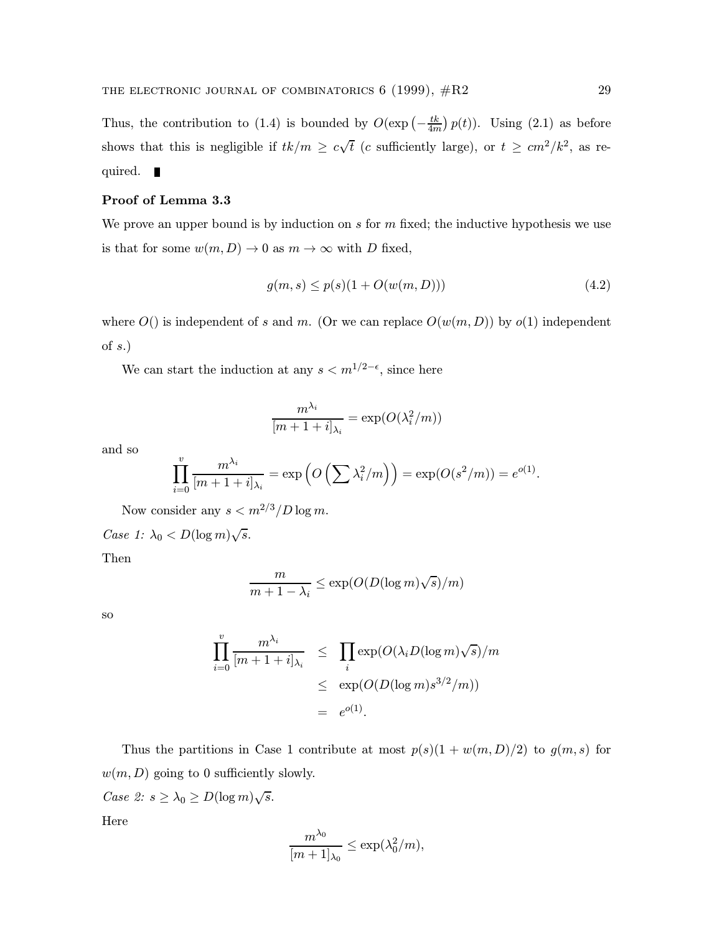Thus, the contribution to (1.4) is bounded by  $O(\exp(-\frac{tk}{4m})p(t))$ . Using (2.1) as before shows that this is negligible if  $tk/m \geq c\sqrt{t}$  (c sufficiently large), or  $t \geq cm^2/k^2$ , as required.  $\blacksquare$ 

#### Proof of Lemma 3.3

We prove an upper bound is by induction on  $s$  for  $m$  fixed; the inductive hypothesis we use is that for some  $w(m, D) \to 0$  as  $m \to \infty$  with D fixed,

$$
g(m, s) \le p(s)(1 + O(w(m, D)))\tag{4.2}
$$

where  $O()$  is independent of s and m. (Or we can replace  $O(w(m, D))$  by  $o(1)$  independent of  $s$ .)

We can start the induction at any  $s < m^{1/2-\epsilon}$ , since here

$$
\frac{m^{\lambda_i}}{[m+1+i]_{\lambda_i}} = \exp(O(\lambda_i^2/m))
$$

and so

$$
\prod_{i=0}^v \frac{m^{\lambda_i}}{[m+1+i]_{\lambda_i}} = \exp\left(O\left(\sum \lambda_i^2/m\right)\right) = \exp(O(s^2/m)) = e^{o(1)}.
$$

Now consider any  $s < m^{2/3}/D \log m$ .

Case 1:  $\lambda_0 < D(\log m)\sqrt{s}$ .

Then

$$
\frac{m}{m+1-\lambda_i} \le \exp(O(D(\log m)\sqrt{s})/m)
$$

so

$$
\prod_{i=0}^{v} \frac{m^{\lambda_i}}{[m+1+i]_{\lambda_i}} \leq \prod_{i} \exp(O(\lambda_i D(\log m) \sqrt{s})/m
$$
  

$$
\leq \exp(O(D(\log m) s^{3/2}/m))
$$
  

$$
= e^{o(1)}.
$$

Thus the partitions in Case 1 contribute at most  $p(s)(1 + w(m, D)/2)$  to  $g(m, s)$  for  $w(m, D)$  going to 0 sufficiently slowly.

Case 2:  $s \geq \lambda_0 \geq D(\log m)\sqrt{s}$ .

Here

$$
\frac{m^{\lambda_0}}{[m+1]_{\lambda_0}} \leq \exp(\lambda_0^2/m),
$$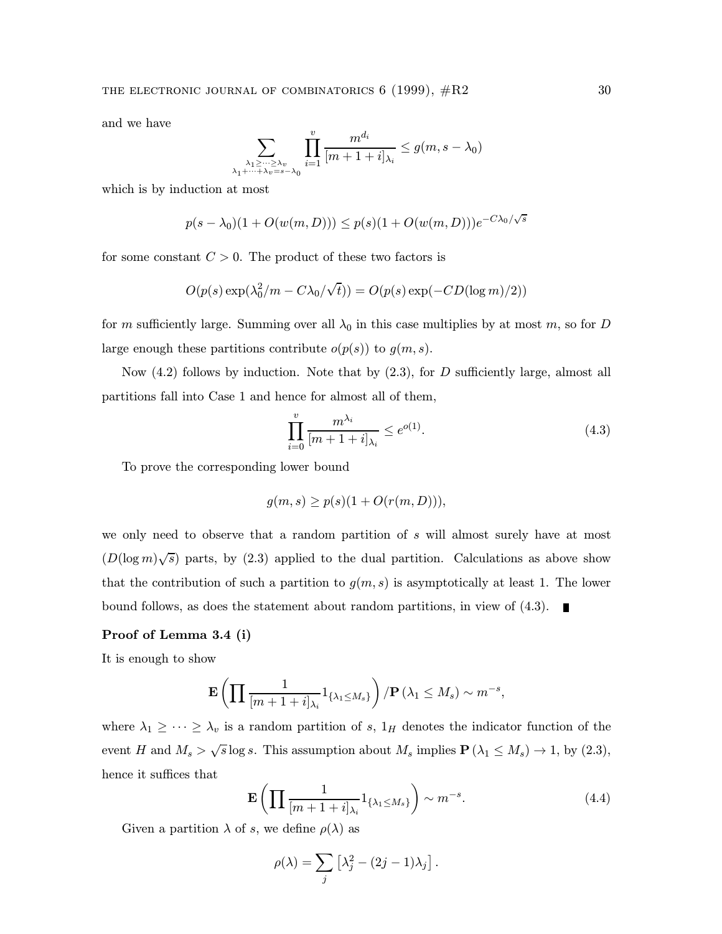and we have

$$
\sum_{\substack{\lambda_1 \geq \dots \geq \lambda_v \\ \lambda_1 + \dots + \lambda_v = s - \lambda_0}} \prod_{i=1}^v \frac{m^{d_i}}{[m+1+i]_{\lambda_i}} \leq g(m, s - \lambda_0)
$$

which is by induction at most

$$
p(s - \lambda_0)(1 + O(w(m, D))) \le p(s)(1 + O(w(m, D)))e^{-C\lambda_0/\sqrt{s}}
$$

for some constant  $C > 0$ . The product of these two factors is

$$
O(p(s) \exp(\lambda_0^2/m - C\lambda_0/\sqrt{t})) = O(p(s) \exp(-CD(\log m)/2))
$$

for m sufficiently large. Summing over all  $\lambda_0$  in this case multiplies by at most m, so for D large enough these partitions contribute  $o(p(s))$  to  $g(m, s)$ .

Now  $(4.2)$  follows by induction. Note that by  $(2.3)$ , for D sufficiently large, almost all partitions fall into Case 1 and hence for almost all of them,

$$
\prod_{i=0}^{v} \frac{m^{\lambda_i}}{[m+1+i]_{\lambda_i}} \le e^{o(1)}.
$$
\n(4.3)

To prove the corresponding lower bound

$$
g(m,s) \ge p(s)(1 + O(r(m,D))),
$$

we only need to observe that a random partition of s will almost surely have at most  $(D(\log m)\sqrt{s})$  parts, by (2.3) applied to the dual partition. Calculations as above show that the contribution of such a partition to  $g(m, s)$  is asymptotically at least 1. The lower bound follows, as does the statement about random partitions, in view of  $(4.3)$ .

## Proof of Lemma 3.4 (i)

It is enough to show

$$
\mathbf{E}\left(\prod \frac{1}{[m+1+i]_{\lambda_i}}1_{\{\lambda_1\leq M_s\}}\right)/\mathbf{P}\left(\lambda_1\leq M_s\right)\sim m^{-s},
$$

where  $\lambda_1 \geq \cdots \geq \lambda_v$  is a random partition of s,  $1_H$  denotes the indicator function of the event H and  $M_s > \sqrt{s} \log s$ . This assumption about  $M_s$  implies  $P(\lambda_1 \leq M_s) \to 1$ , by (2.3), hence it suffices that

$$
\mathbf{E}\left(\prod \frac{1}{[m+1+i]_{\lambda_i}} 1_{\{\lambda_1 \le M_s\}}\right) \sim m^{-s}.\tag{4.4}
$$

Given a partition  $\lambda$  of s, we define  $\rho(\lambda)$  as

$$
\rho(\lambda) = \sum_j \left[ \lambda_j^2 - (2j - 1)\lambda_j \right].
$$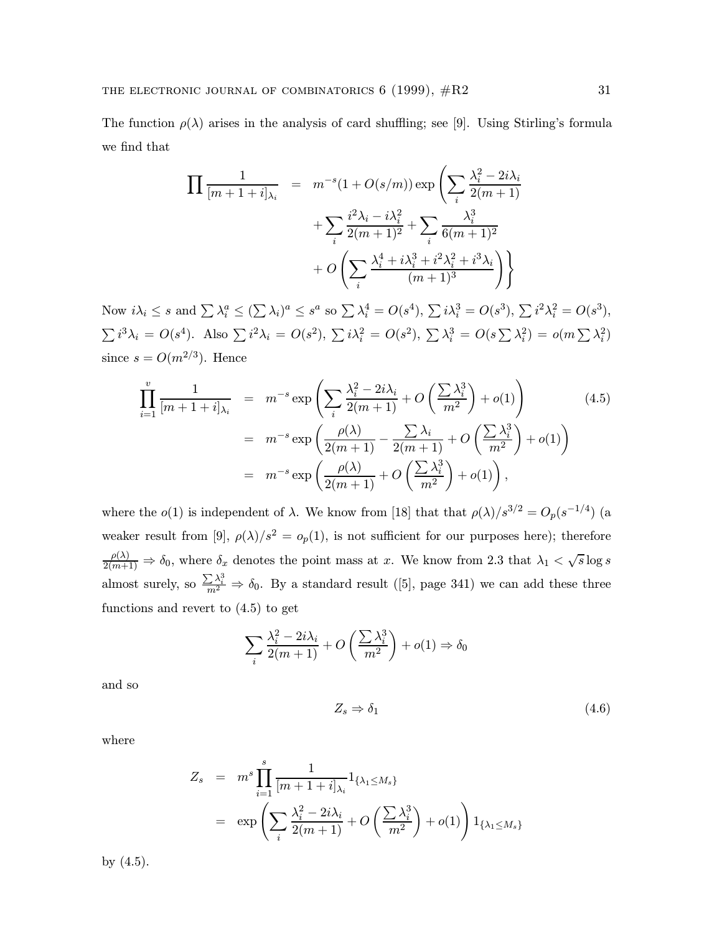The function  $\rho(\lambda)$  arises in the analysis of card shuffling; see [9]. Using Stirling's formula we find that

$$
\prod \frac{1}{[m+1+i]_{\lambda_i}} = m^{-s} (1 + O(s/m)) \exp \left( \sum_i \frac{\lambda_i^2 - 2i\lambda_i}{2(m+1)} + \sum_i \frac{i^2\lambda_i - i\lambda_i^2}{2(m+1)^2} + \sum_i \frac{\lambda_i^3}{6(m+1)^2} + O\left( \sum_i \frac{\lambda_i^4 + i\lambda_i^3 + i^2\lambda_i^2 + i^3\lambda_i}{(m+1)^3} \right) \right)
$$

Now  $i\lambda_i \leq s$  and  $\sum \lambda_i^a \leq (\sum \lambda_i)^a \leq s^a$  so  $\sum \lambda_i^4 = O(s^4)$ ,  $\sum i\lambda_i^3 = O(s^3)$ ,  $\sum i^2 \lambda_i^2 = O(s^3)$ ,  $\sum i^3 \lambda_i = O(s^4)$ . Also  $\sum i^2 \lambda_i = O(s^2)$ ,  $\sum i \lambda_i^2 = O(s^2)$ ,  $\sum \lambda_i^3 = O(s \sum \lambda_i^2) = o(m \sum \lambda_i^2)$ since  $s = O(m^{2/3})$ . Hence

$$
\prod_{i=1}^{v} \frac{1}{[m+1+i]_{\lambda_i}} = m^{-s} \exp\left(\sum_{i} \frac{\lambda_i^2 - 2i\lambda_i}{2(m+1)} + O\left(\frac{\sum \lambda_i^3}{m^2}\right) + o(1)\right)
$$
\n
$$
= m^{-s} \exp\left(\frac{\rho(\lambda)}{2(m+1)} - \frac{\sum \lambda_i}{2(m+1)} + O\left(\frac{\sum \lambda_i^3}{m^2}\right) + o(1)\right)
$$
\n
$$
= m^{-s} \exp\left(\frac{\rho(\lambda)}{2(m+1)} + O\left(\frac{\sum \lambda_i^3}{m^2}\right) + o(1)\right),
$$
\n(4.5)

where the  $o(1)$  is independent of  $\lambda$ . We know from [18] that that  $\rho(\lambda)/s^{3/2} = O_p(s^{-1/4})$  (a weaker result from [9],  $\rho(\lambda)/s^2 = o_p(1)$ , is not sufficient for our purposes here); therefore  $\frac{\rho(\lambda)}{2(m+1)} \Rightarrow \delta_0$ , where  $\delta_x$  denotes the point mass at x. We know from 2.3 that  $\lambda_1 < \sqrt{s} \log s$ almost surely, so  $\frac{\sum \lambda_i^3}{m^2} \Rightarrow \delta_0$ . By a standard result ([5], page 341) we can add these three functions and revert to (4.5) to get

$$
\sum_{i} \frac{\lambda_i^2 - 2i\lambda_i}{2(m+1)} + O\left(\frac{\sum \lambda_i^3}{m^2}\right) + o(1) \Rightarrow \delta_0
$$

and so

$$
Z_s \Rightarrow \delta_1 \tag{4.6}
$$

where

$$
Z_s = m^s \prod_{i=1}^s \frac{1}{[m+1+i]_{\lambda_i}} 1_{\{\lambda_1 \le M_s\}}
$$
  
=  $\exp \left( \sum_i \frac{\lambda_i^2 - 2i\lambda_i}{2(m+1)} + O\left(\frac{\sum \lambda_i^3}{m^2}\right) + o(1) \right) 1_{\{\lambda_1 \le M_s\}}$ 

by (4.5).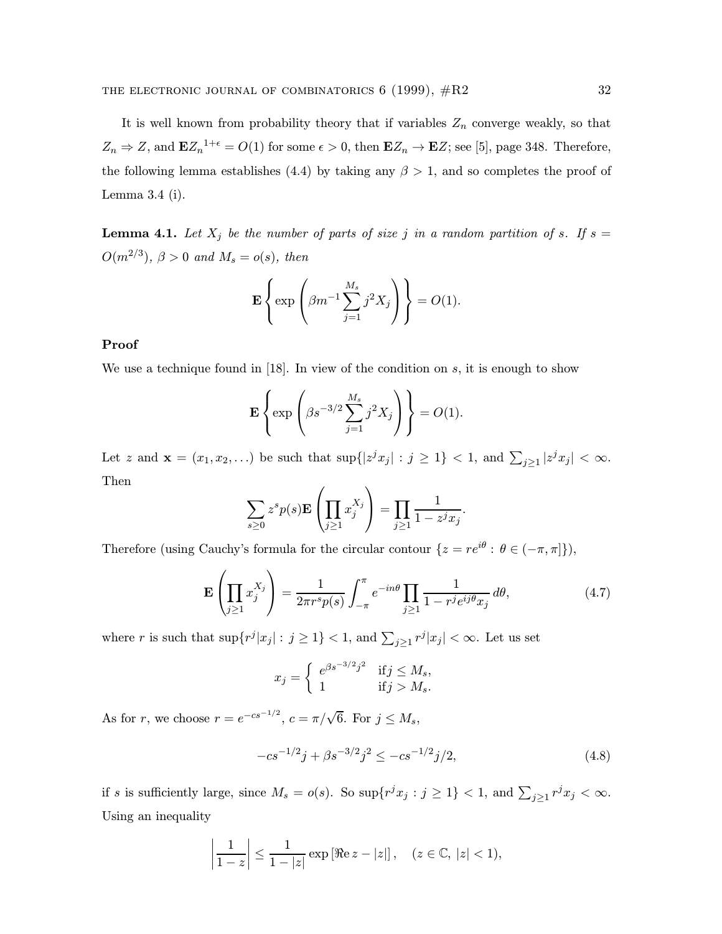It is well known from probability theory that if variables  $Z_n$  converge weakly, so that  $Z_n \Rightarrow Z$ , and  $\mathbf{E}Z_n^{-1+\epsilon} = O(1)$  for some  $\epsilon > 0$ , then  $\mathbf{E}Z_n \to \mathbf{E}Z$ ; see [5], page 348. Therefore, the following lemma establishes (4.4) by taking any  $\beta > 1$ , and so completes the proof of Lemma 3.4 (i).

**Lemma 4.1.** Let  $X_j$  be the number of parts of size j in a random partition of s. If  $s =$  $O(m^{2/3})$ ,  $\beta > 0$  and  $M_s = o(s)$ , then

$$
\mathbf{E}\left\{\exp\left(\beta m^{-1}\sum_{j=1}^{M_s}j^2X_j\right)\right\} = O(1).
$$

# Proof

We use a technique found in  $[18]$ . In view of the condition on s, it is enough to show

$$
\mathbf{E}\left\{\exp\left(\beta s^{-3/2}\sum_{j=1}^{M_s}j^2X_j\right)\right\} = O(1).
$$

Let z and  $\mathbf{x} = (x_1, x_2, \ldots)$  be such that  $\sup\{|z^j x_j| : j \geq 1\} < 1$ , and  $\sum_{j \geq 1} |z^j x_j| < \infty$ . Then

$$
\sum_{s\geq 0} z^s p(s) \mathbf{E} \left( \prod_{j\geq 1} x_j^{X_j} \right) = \prod_{j\geq 1} \frac{1}{1 - z^j x_j}.
$$

Therefore (using Cauchy's formula for the circular contour  $\{z = re^{i\theta} : \theta \in (-\pi, \pi]\}\)$ ,

$$
\mathbf{E}\left(\prod_{j\geq 1}x_j^{X_j}\right) = \frac{1}{2\pi r^s p(s)} \int_{-\pi}^{\pi} e^{-in\theta} \prod_{j\geq 1} \frac{1}{1 - r^j e^{ij\theta} x_j} d\theta,
$$
\n(4.7)

where r is such that  $\sup\{r^j |x_j| : j \ge 1\} < 1$ , and  $\sum_{j\ge 1} r^j |x_j| < \infty$ . Let us set

$$
x_j = \begin{cases} e^{\beta s^{-3/2}j^2} & \text{if } j \le M_s, \\ 1 & \text{if } j > M_s. \end{cases}
$$

As for r, we choose  $r = e^{-cs^{-1/2}}$ ,  $c = \pi/\sqrt{6}$ . For  $j \le M_s$ ,

$$
-cs^{-1/2}j + \beta s^{-3/2}j^2 \le -cs^{-1/2}j/2,\tag{4.8}
$$

if s is sufficiently large, since  $M_s = o(s)$ . So  $\sup\{r^j x_j : j \ge 1\} < 1$ , and  $\sum_{j \ge 1} r^j x_j < \infty$ . Using an inequality

$$
\left|\frac{1}{1-z}\right| \le \frac{1}{1-|z|} \exp \left[\Re(z-|z|\right], \quad (z \in \mathbb{C}, |z| < 1),
$$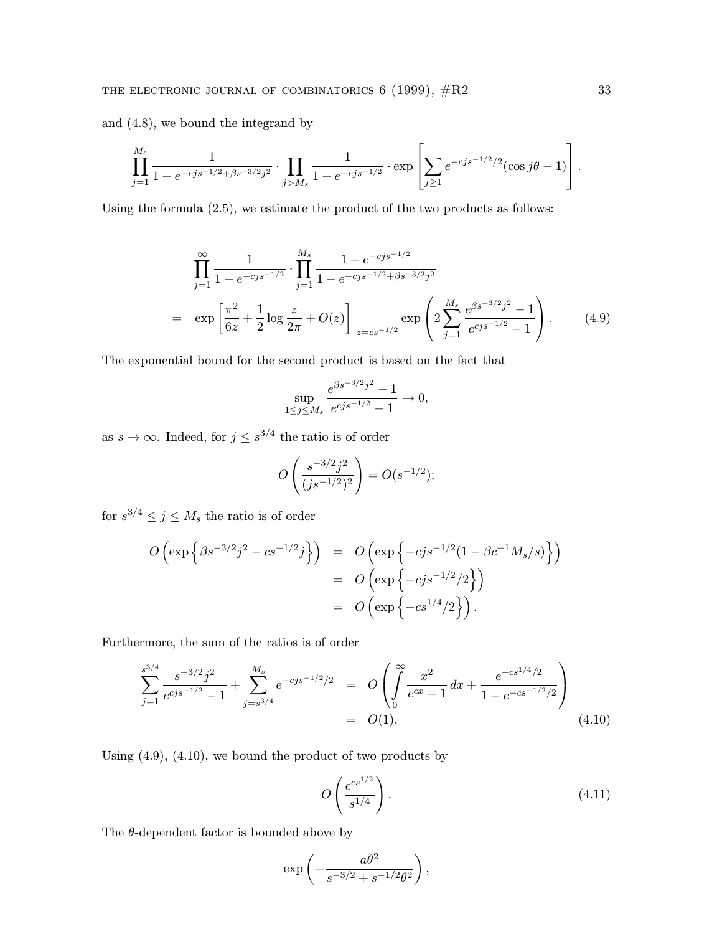and (4.8), we bound the integrand by

$$
\prod_{j=1}^{M_s} \frac{1}{1 - e^{-cjs^{-1/2} + \beta s^{-3/2}j^2}} \cdot \prod_{j>M_s} \frac{1}{1 - e^{-cjs^{-1/2}}} \cdot \exp\left[\sum_{j\geq 1} e^{-cjs^{-1/2}/2}(\cos j\theta - 1)\right].
$$

Using the formula (2.5), we estimate the product of the two products as follows:

$$
\prod_{j=1}^{\infty} \frac{1}{1 - e^{-cjs^{-1/2}}} \cdot \prod_{j=1}^{M_s} \frac{1 - e^{-cjs^{-1/2}}}{1 - e^{-cjs^{-1/2} + \beta s^{-3/2}j^2}}
$$
\n
$$
= \exp\left[\frac{\pi^2}{6z} + \frac{1}{2}\log\frac{z}{2\pi} + O(z)\right]\Big|_{z = cs^{-1/2}} \exp\left(2\sum_{j=1}^{M_s} \frac{e^{\beta s^{-3/2}j^2} - 1}{e^{cjs^{-1/2} - 1}}\right). \tag{4.9}
$$

The exponential bound for the second product is based on the fact that

$$
\sup_{1 \le j \le M_s} \frac{e^{\beta s^{-3/2}j^2} - 1}{e^{cjs^{-1/2} - 1}} \to 0,
$$

as  $s \to \infty$ . Indeed, for  $j \leq s^{3/4}$  the ratio is of order

$$
O\left(\frac{s^{-3/2}j^2}{(js^{-1/2})^2}\right) = O(s^{-1/2});
$$

for  $s^{3/4} \leq j \leq M_s$  the ratio is of order

$$
O\left(\exp\left\{\beta s^{-3/2}j^2 - cs^{-1/2}j\right\}\right) = O\left(\exp\left\{-cjs^{-1/2}(1 - \beta c^{-1}M_s/s)\right\}\right)
$$
  
= 
$$
O\left(\exp\left\{-cjs^{-1/2}/2\right\}\right)
$$
  
= 
$$
O\left(\exp\left\{-cs^{1/4}/2\right\}\right).
$$

Furthermore, the sum of the ratios is of order

$$
\sum_{j=1}^{s^{3/4}} \frac{s^{-3/2}j^2}{e^{cjs^{-1/2}}-1} + \sum_{j=s^{3/4}}^{M_s} e^{-cjs^{-1/2}/2} = O\left(\int_0^\infty \frac{x^2}{e^{cx}-1} dx + \frac{e^{-cs^{1/4}/2}}{1 - e^{-cs^{-1/2}/2}}\right)
$$
  
= O(1). (4.10)

Using (4.9), (4.10), we bound the product of two products by

$$
O\left(\frac{e^{cs^{1/2}}}{s^{1/4}}\right). \tag{4.11}
$$

The  $\theta$ -dependent factor is bounded above by

$$
\exp\left(-\frac{a\theta^2}{s^{-3/2}+s^{-1/2}\theta^2}\right),\,
$$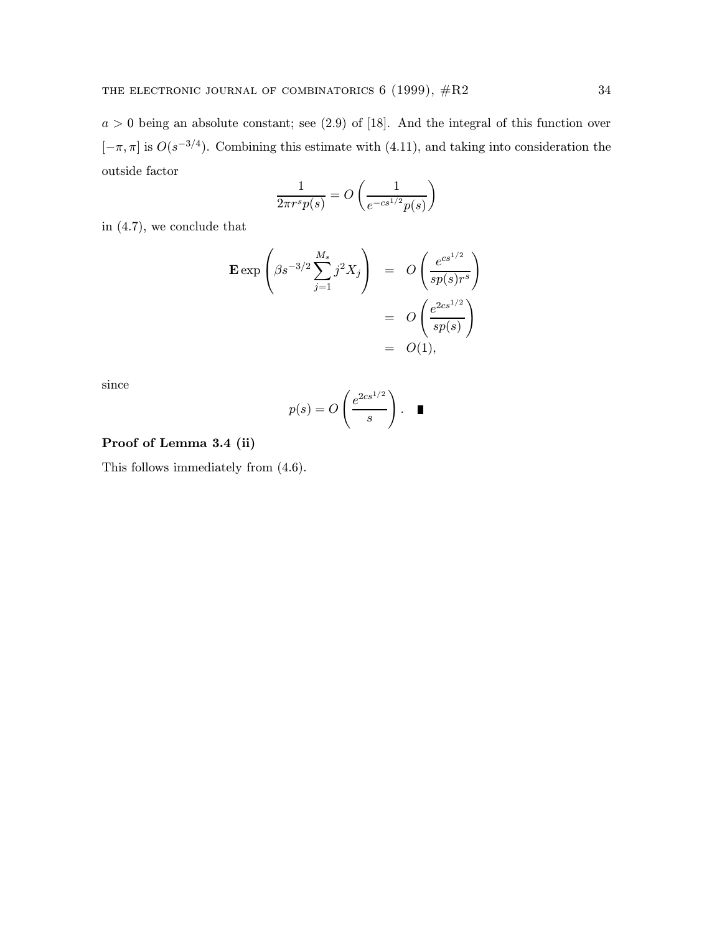$a > 0$  being an absolute constant; see  $(2.9)$  of  $[18]$ . And the integral of this function over  $[-\pi, \pi]$  is  $O(s^{-3/4})$ . Combining this estimate with (4.11), and taking into consideration the outside factor

$$
\frac{1}{2\pi r^s p(s)} = O\left(\frac{1}{e^{-cs^{1/2}} p(s)}\right)
$$

in (4.7), we conclude that

$$
\begin{aligned} \mathbf{E} \exp\left(\beta s^{-3/2} \sum_{j=1}^{M_s} j^2 X_j\right) &= O\left(\frac{e^{cs^{1/2}}}{sp(s)r^s}\right) \\ &= O\left(\frac{e^{2cs^{1/2}}}{sp(s)}\right) \\ &= O(1), \end{aligned}
$$

since

$$
p(s) = O\left(\frac{e^{2cs^{1/2}}}{s}\right). \quad \blacksquare
$$

# Proof of Lemma 3.4 (ii)

This follows immediately from (4.6).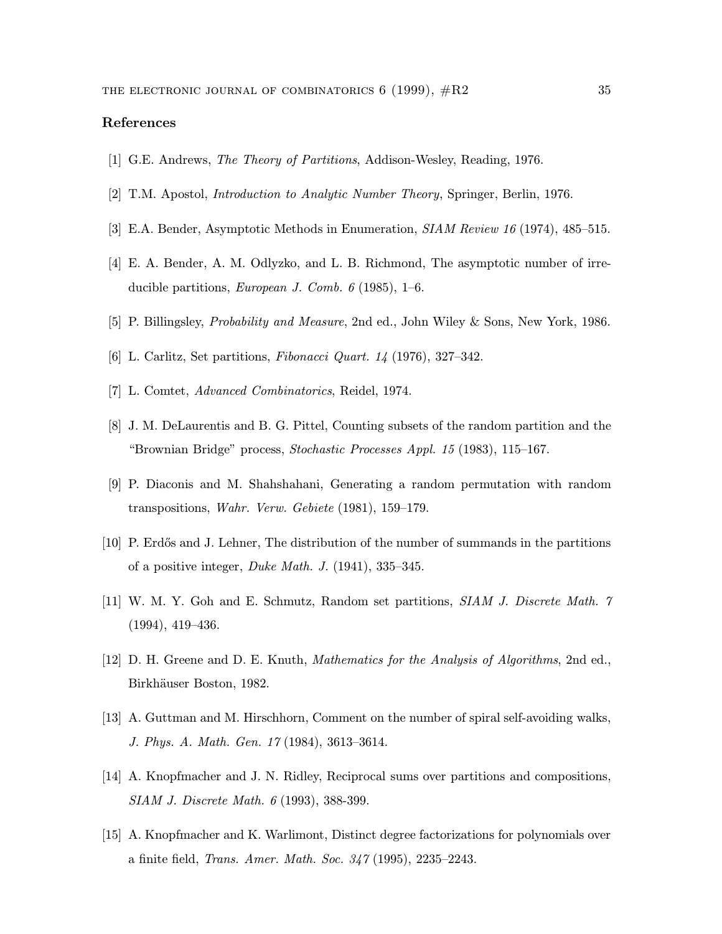# References

- [1] G.E. Andrews, The Theory of Partitions, Addison-Wesley, Reading, 1976.
- [2] T.M. Apostol, Introduction to Analytic Number Theory, Springer, Berlin, 1976.
- [3] E.A. Bender, Asymptotic Methods in Enumeration, SIAM Review 16 (1974), 485–515.
- [4] E. A. Bender, A. M. Odlyzko, and L. B. Richmond, The asymptotic number of irreducible partitions, *European J. Comb.*  $6$  (1985), 1–6.
- [5] P. Billingsley, Probability and Measure, 2nd ed., John Wiley & Sons, New York, 1986.
- [6] L. Carlitz, Set partitions, Fibonacci Quart. 14 (1976), 327–342.
- [7] L. Comtet, Advanced Combinatorics, Reidel, 1974.
- [8] J. M. DeLaurentis and B. G. Pittel, Counting subsets of the random partition and the "Brownian Bridge" process, Stochastic Processes Appl. 15 (1983), 115–167.
- [9] P. Diaconis and M. Shahshahani, Generating a random permutation with random transpositions, Wahr. Verw. Gebiete (1981), 159–179.
- [10] P. Erd˝os and J. Lehner, The distribution of the number of summands in the partitions of a positive integer, Duke Math. J. (1941), 335–345.
- [11] W. M. Y. Goh and E. Schmutz, Random set partitions, SIAM J. Discrete Math. 7 (1994), 419–436.
- [12] D. H. Greene and D. E. Knuth, Mathematics for the Analysis of Algorithms, 2nd ed., Birkhäuser Boston, 1982.
- [13] A. Guttman and M. Hirschhorn, Comment on the number of spiral self-avoiding walks, J. Phys. A. Math. Gen. 17 (1984), 3613–3614.
- [14] A. Knopfmacher and J. N. Ridley, Reciprocal sums over partitions and compositions, SIAM J. Discrete Math. 6 (1993), 388-399.
- [15] A. Knopfmacher and K. Warlimont, Distinct degree factorizations for polynomials over a finite field, Trans. Amer. Math. Soc. 347 (1995), 2235–2243.